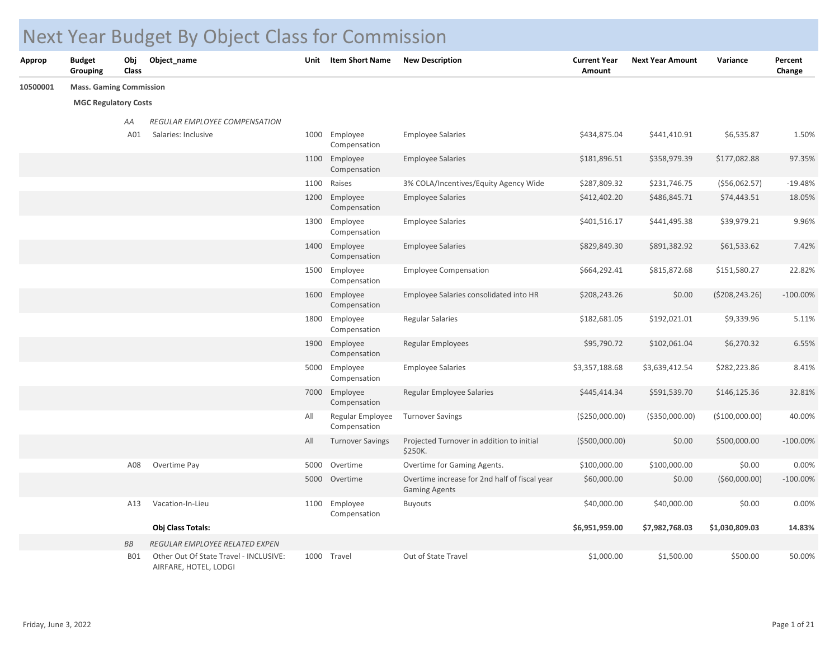## Next Year Budget By Object Class for Commission

| <b>Approp</b> | <b>Budget</b><br>Grouping      | Obj<br>Class | Object_name                                                     | Unit | <b>Item Short Name</b>           | <b>New Description</b>                                                | <b>Current Year</b><br>Amount | <b>Next Year Amount</b> | Variance       | Percent<br>Change |
|---------------|--------------------------------|--------------|-----------------------------------------------------------------|------|----------------------------------|-----------------------------------------------------------------------|-------------------------------|-------------------------|----------------|-------------------|
| 10500001      | <b>Mass. Gaming Commission</b> |              |                                                                 |      |                                  |                                                                       |                               |                         |                |                   |
|               | <b>MGC Regulatory Costs</b>    |              |                                                                 |      |                                  |                                                                       |                               |                         |                |                   |
|               |                                | AA           | REGULAR EMPLOYEE COMPENSATION                                   |      |                                  |                                                                       |                               |                         |                |                   |
|               |                                | A01          | Salaries: Inclusive                                             |      | 1000 Employee<br>Compensation    | <b>Employee Salaries</b>                                              | \$434,875.04                  | \$441,410.91            | \$6,535.87     | 1.50%             |
|               |                                |              |                                                                 |      | 1100 Employee<br>Compensation    | <b>Employee Salaries</b>                                              | \$181,896.51                  | \$358,979.39            | \$177,082.88   | 97.35%            |
|               |                                |              |                                                                 | 1100 | Raises                           | 3% COLA/Incentives/Equity Agency Wide                                 | \$287,809.32                  | \$231,746.75            | ( \$56,062.57) | $-19.48%$         |
|               |                                |              |                                                                 | 1200 | Employee<br>Compensation         | <b>Employee Salaries</b>                                              | \$412,402.20                  | \$486,845.71            | \$74,443.51    | 18.05%            |
|               |                                |              |                                                                 |      | 1300 Employee<br>Compensation    | <b>Employee Salaries</b>                                              | \$401,516.17                  | \$441,495.38            | \$39,979.21    | 9.96%             |
|               |                                |              |                                                                 |      | 1400 Employee<br>Compensation    | <b>Employee Salaries</b>                                              | \$829,849.30                  | \$891,382.92            | \$61,533.62    | 7.42%             |
|               |                                |              |                                                                 |      | 1500 Employee<br>Compensation    | <b>Employee Compensation</b>                                          | \$664,292.41                  | \$815,872.68            | \$151,580.27   | 22.82%            |
|               |                                |              |                                                                 |      | 1600 Employee<br>Compensation    | Employee Salaries consolidated into HR                                | \$208,243.26                  | \$0.00                  | (5208, 243.26) | $-100.00\%$       |
|               |                                |              |                                                                 |      | 1800 Employee<br>Compensation    | <b>Regular Salaries</b>                                               | \$182,681.05                  | \$192,021.01            | \$9,339.96     | 5.11%             |
|               |                                |              |                                                                 |      | 1900 Employee<br>Compensation    | Regular Employees                                                     | \$95,790.72                   | \$102,061.04            | \$6,270.32     | 6.55%             |
|               |                                |              |                                                                 |      | 5000 Employee<br>Compensation    | <b>Employee Salaries</b>                                              | \$3,357,188.68                | \$3,639,412.54          | \$282,223.86   | 8.41%             |
|               |                                |              |                                                                 |      | 7000 Employee<br>Compensation    | Regular Employee Salaries                                             | \$445,414.34                  | \$591,539.70            | \$146,125.36   | 32.81%            |
|               |                                |              |                                                                 | All  | Regular Employee<br>Compensation | <b>Turnover Savings</b>                                               | (\$250,000.00)                | ( \$350,000.00)         | (\$100,000.00) | 40.00%            |
|               |                                |              |                                                                 | All  | <b>Turnover Savings</b>          | Projected Turnover in addition to initial<br>\$250K.                  | ( \$500,000.00)               | \$0.00                  | \$500,000.00   | $-100.00%$        |
|               |                                | A08          | Overtime Pay                                                    |      | 5000 Overtime                    | Overtime for Gaming Agents.                                           | \$100,000.00                  | \$100,000.00            | \$0.00         | 0.00%             |
|               |                                |              |                                                                 |      | 5000 Overtime                    | Overtime increase for 2nd half of fiscal year<br><b>Gaming Agents</b> | \$60,000.00                   | \$0.00                  | ( \$60,000.00) | $-100.00%$        |
|               |                                | A13          | Vacation-In-Lieu                                                | 1100 | Employee<br>Compensation         | <b>Buyouts</b>                                                        | \$40,000.00                   | \$40,000.00             | \$0.00         | 0.00%             |
|               |                                |              | Obj Class Totals:                                               |      |                                  |                                                                       | \$6,951,959.00                | \$7,982,768.03          | \$1,030,809.03 | 14.83%            |
|               |                                | BB           | REGULAR EMPLOYEE RELATED EXPEN                                  |      |                                  |                                                                       |                               |                         |                |                   |
|               |                                | <b>B01</b>   | Other Out Of State Travel - INCLUSIVE:<br>AIRFARE, HOTEL, LODGI |      | 1000 Travel                      | Out of State Travel                                                   | \$1,000.00                    | \$1,500.00              | \$500.00       | 50.00%            |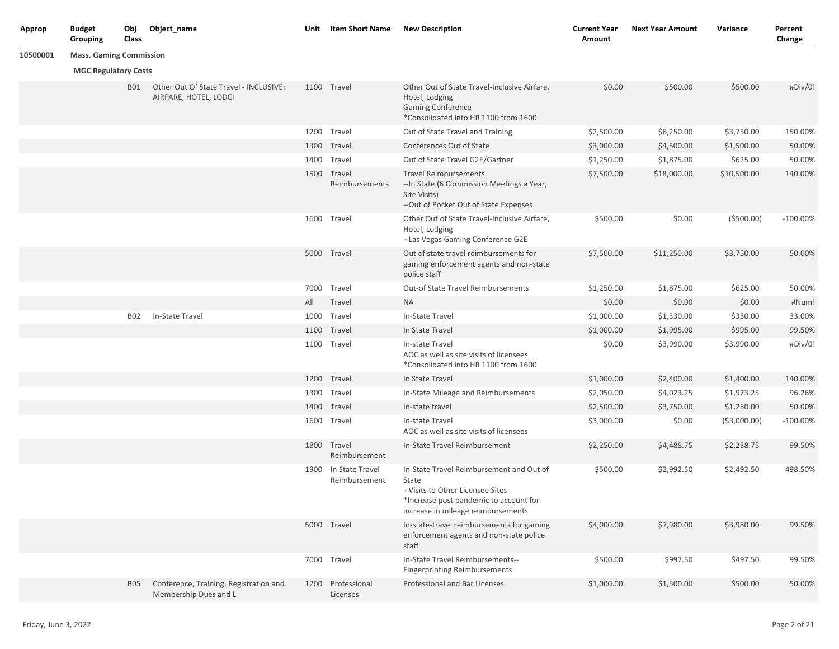| <b>Approp</b> | <b>Budget</b><br>Grouping      | Obj<br>Class | Object_name                                                     | Unit | Item Short Name                       | <b>New Description</b>                                                                                                                                                | <b>Current Year</b><br><b>Amount</b> | <b>Next Year Amount</b> | Variance      | Percent<br>Change |
|---------------|--------------------------------|--------------|-----------------------------------------------------------------|------|---------------------------------------|-----------------------------------------------------------------------------------------------------------------------------------------------------------------------|--------------------------------------|-------------------------|---------------|-------------------|
| 10500001      | <b>Mass. Gaming Commission</b> |              |                                                                 |      |                                       |                                                                                                                                                                       |                                      |                         |               |                   |
|               | <b>MGC Regulatory Costs</b>    |              |                                                                 |      |                                       |                                                                                                                                                                       |                                      |                         |               |                   |
|               |                                | <b>BO1</b>   | Other Out Of State Travel - INCLUSIVE:<br>AIRFARE, HOTEL, LODGI |      | 1100 Travel                           | Other Out of State Travel-Inclusive Airfare,<br>Hotel, Lodging<br><b>Gaming Conference</b><br>*Consolidated into HR 1100 from 1600                                    | \$0.00                               | \$500.00                | \$500.00      | #Div/0!           |
|               |                                |              |                                                                 |      | 1200 Travel                           | Out of State Travel and Training                                                                                                                                      | \$2,500.00                           | \$6,250.00              | \$3,750.00    | 150.00%           |
|               |                                |              |                                                                 |      | 1300 Travel                           | Conferences Out of State                                                                                                                                              | \$3,000.00                           | \$4,500.00              | \$1,500.00    | 50.00%            |
|               |                                |              |                                                                 | 1400 | Travel                                | Out of State Travel G2E/Gartner                                                                                                                                       | \$1,250.00                           | \$1,875.00              | \$625.00      | 50.00%            |
|               |                                |              |                                                                 |      | 1500 Travel<br>Reimbursements         | <b>Travel Reimbursements</b><br>-- In State (6 Commission Meetings a Year,<br>Site Visits)<br>-- Out of Pocket Out of State Expenses                                  | \$7,500.00                           | \$18,000.00             | \$10,500.00   | 140.00%           |
|               |                                |              |                                                                 |      | 1600 Travel                           | Other Out of State Travel-Inclusive Airfare,<br>Hotel, Lodging<br>--Las Vegas Gaming Conference G2E                                                                   | \$500.00                             | \$0.00                  | ( \$500.00)   | $-100.00\%$       |
|               |                                |              |                                                                 |      | 5000 Travel                           | Out of state travel reimbursements for<br>gaming enforcement agents and non-state<br>police staff                                                                     | \$7,500.00                           | \$11,250.00             | \$3,750.00    | 50.00%            |
|               |                                |              |                                                                 |      | 7000 Travel                           | Out-of State Travel Reimbursements                                                                                                                                    | \$1,250.00                           | \$1,875.00              | \$625.00      | 50.00%            |
|               |                                |              |                                                                 | All  | Travel                                | <b>NA</b>                                                                                                                                                             | \$0.00                               | \$0.00                  | \$0.00        | #Num!             |
|               |                                | B02          | In-State Travel                                                 |      | 1000 Travel                           | In-State Travel                                                                                                                                                       | \$1,000.00                           | \$1,330.00              | \$330.00      | 33.00%            |
|               |                                |              |                                                                 |      | 1100 Travel                           | In State Travel                                                                                                                                                       | \$1,000.00                           | \$1,995.00              | \$995.00      | 99.50%            |
|               |                                |              |                                                                 |      | 1100 Travel                           | In-state Travel<br>AOC as well as site visits of licensees<br>*Consolidated into HR 1100 from 1600                                                                    | \$0.00                               | \$3,990.00              | \$3,990.00    | #Div/0!           |
|               |                                |              |                                                                 |      | 1200 Travel                           | In State Travel                                                                                                                                                       | \$1,000.00                           | \$2,400.00              | \$1,400.00    | 140.00%           |
|               |                                |              |                                                                 |      | 1300 Travel                           | In-State Mileage and Reimbursements                                                                                                                                   | \$2,050.00                           | \$4,023.25              | \$1,973.25    | 96.26%            |
|               |                                |              |                                                                 |      | 1400 Travel                           | In-state travel                                                                                                                                                       | \$2,500.00                           | \$3,750.00              | \$1,250.00    | 50.00%            |
|               |                                |              |                                                                 |      | 1600 Travel                           | In-state Travel<br>AOC as well as site visits of licensees                                                                                                            | \$3,000.00                           | \$0.00                  | ( \$3,000.00) | $-100.00%$        |
|               |                                |              |                                                                 |      | 1800 Travel<br>Reimbursement          | In-State Travel Reimbursement                                                                                                                                         | \$2,250.00                           | \$4,488.75              | \$2,238.75    | 99.50%            |
|               |                                |              |                                                                 |      | 1900 In State Travel<br>Reimbursement | In-State Travel Reimbursement and Out of<br>State<br>--Visits to Other Licensee Sites<br>*Increase post pandemic to account for<br>increase in mileage reimbursements | \$500.00                             | \$2,992.50              | \$2,492.50    | 498.50%           |
|               |                                |              |                                                                 |      | 5000 Travel                           | In-state-travel reimbursements for gaming<br>enforcement agents and non-state police<br>staff                                                                         | \$4,000.00                           | \$7,980.00              | \$3,980.00    | 99.50%            |
|               |                                |              |                                                                 |      | 7000 Travel                           | In-State Travel Reimbursements--<br><b>Fingerprinting Reimbursements</b>                                                                                              | \$500.00                             | \$997.50                | \$497.50      | 99.50%            |
|               |                                | <b>B05</b>   | Conference, Training, Registration and<br>Membership Dues and L | 1200 | Professional<br>Licenses              | Professional and Bar Licenses                                                                                                                                         | \$1,000.00                           | \$1,500.00              | \$500.00      | 50.00%            |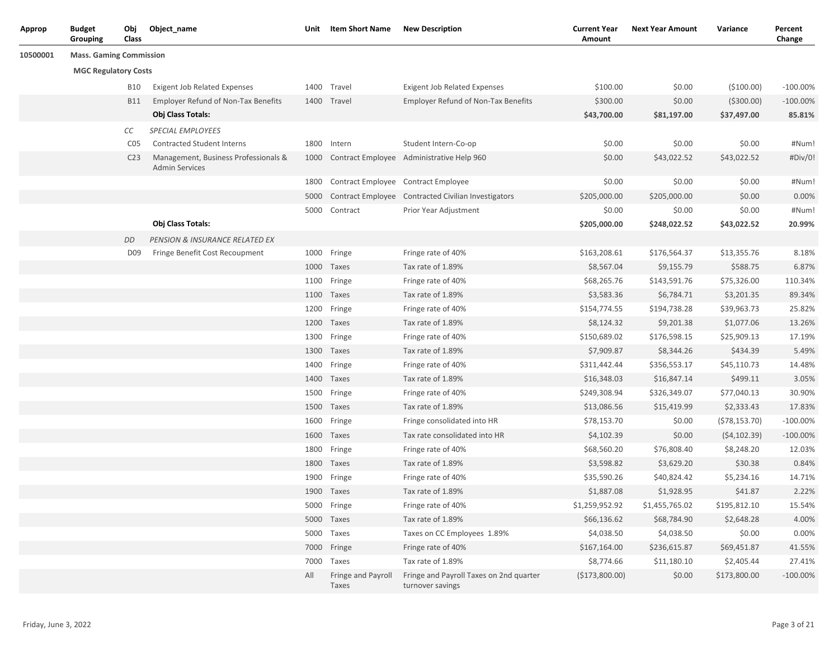| Approp   | <b>Budget</b><br>Grouping      | Obj<br>Class     | Object_name                                                   | Unit | <b>Item Short Name</b>      | <b>New Description</b>                                      | <b>Current Year</b><br>Amount | <b>Next Year Amount</b> | Variance      | Percent<br>Change |
|----------|--------------------------------|------------------|---------------------------------------------------------------|------|-----------------------------|-------------------------------------------------------------|-------------------------------|-------------------------|---------------|-------------------|
| 10500001 | <b>Mass. Gaming Commission</b> |                  |                                                               |      |                             |                                                             |                               |                         |               |                   |
|          | <b>MGC Regulatory Costs</b>    |                  |                                                               |      |                             |                                                             |                               |                         |               |                   |
|          |                                | <b>B10</b>       | <b>Exigent Job Related Expenses</b>                           | 1400 | Travel                      | <b>Exigent Job Related Expenses</b>                         | \$100.00                      | \$0.00                  | (\$100.00)    | $-100.00\%$       |
|          |                                | <b>B11</b>       | Employer Refund of Non-Tax Benefits                           | 1400 | Travel                      | <b>Employer Refund of Non-Tax Benefits</b>                  | \$300.00                      | \$0.00                  | ( \$300.00)   | $-100.00\%$       |
|          |                                |                  | Obj Class Totals:                                             |      |                             |                                                             | \$43,700.00                   | \$81,197.00             | \$37,497.00   | 85.81%            |
|          |                                | СC               | SPECIAL EMPLOYEES                                             |      |                             |                                                             |                               |                         |               |                   |
|          |                                | C <sub>0</sub> 5 | Contracted Student Interns                                    | 1800 | Intern                      | Student Intern-Co-op                                        | \$0.00                        | \$0.00                  | \$0.00        | #Num!             |
|          |                                | C <sub>23</sub>  | Management, Business Professionals &<br><b>Admin Services</b> | 1000 |                             | Contract Employee Administrative Help 960                   | \$0.00                        | \$43,022.52             | \$43,022.52   | #Div/0!           |
|          |                                |                  |                                                               | 1800 |                             | Contract Employee Contract Employee                         | \$0.00                        | \$0.00                  | \$0.00        | #Num!             |
|          |                                |                  |                                                               | 5000 |                             | Contract Employee Contracted Civilian Investigators         | \$205,000.00                  | \$205,000.00            | \$0.00        | 0.00%             |
|          |                                |                  |                                                               | 5000 | Contract                    | Prior Year Adjustment                                       | \$0.00                        | \$0.00                  | \$0.00        | #Num!             |
|          |                                |                  | Obj Class Totals:                                             |      |                             |                                                             | \$205,000.00                  | \$248,022.52            | \$43,022.52   | 20.99%            |
|          |                                | DD               | PENSION & INSURANCE RELATED EX                                |      |                             |                                                             |                               |                         |               |                   |
|          |                                | D <sub>09</sub>  | Fringe Benefit Cost Recoupment                                |      | 1000 Fringe                 | Fringe rate of 40%                                          | \$163,208.61                  | \$176,564.37            | \$13,355.76   | 8.18%             |
|          |                                |                  |                                                               | 1000 | Taxes                       | Tax rate of 1.89%                                           | \$8,567.04                    | \$9,155.79              | \$588.75      | 6.87%             |
|          |                                |                  |                                                               | 1100 | Fringe                      | Fringe rate of 40%                                          | \$68,265.76                   | \$143,591.76            | \$75,326.00   | 110.34%           |
|          |                                |                  |                                                               | 1100 | Taxes                       | Tax rate of 1.89%                                           | \$3,583.36                    | \$6,784.71              | \$3,201.35    | 89.34%            |
|          |                                |                  |                                                               | 1200 | Fringe                      | Fringe rate of 40%                                          | \$154,774.55                  | \$194,738.28            | \$39,963.73   | 25.82%            |
|          |                                |                  |                                                               |      | 1200 Taxes                  | Tax rate of 1.89%                                           | \$8,124.32                    | \$9,201.38              | \$1,077.06    | 13.26%            |
|          |                                |                  |                                                               | 1300 | Fringe                      | Fringe rate of 40%                                          | \$150,689.02                  | \$176,598.15            | \$25,909.13   | 17.19%            |
|          |                                |                  |                                                               | 1300 | Taxes                       | Tax rate of 1.89%                                           | \$7,909.87                    | \$8,344.26              | \$434.39      | 5.49%             |
|          |                                |                  |                                                               | 1400 | Fringe                      | Fringe rate of 40%                                          | \$311,442.44                  | \$356,553.17            | \$45,110.73   | 14.48%            |
|          |                                |                  |                                                               |      | 1400 Taxes                  | Tax rate of 1.89%                                           | \$16,348.03                   | \$16,847.14             | \$499.11      | 3.05%             |
|          |                                |                  |                                                               | 1500 | Fringe                      | Fringe rate of 40%                                          | \$249,308.94                  | \$326,349.07            | \$77,040.13   | 30.90%            |
|          |                                |                  |                                                               | 1500 | Taxes                       | Tax rate of 1.89%                                           | \$13,086.56                   | \$15,419.99             | \$2,333.43    | 17.83%            |
|          |                                |                  |                                                               | 1600 | Fringe                      | Fringe consolidated into HR                                 | \$78,153.70                   | \$0.00                  | (578, 153.70) | $-100.00%$        |
|          |                                |                  |                                                               | 1600 | Taxes                       | Tax rate consolidated into HR                               | \$4,102.39                    | \$0.00                  | (54, 102.39)  | $-100.00\%$       |
|          |                                |                  |                                                               | 1800 | Fringe                      | Fringe rate of 40%                                          | \$68,560.20                   | \$76,808.40             | \$8,248.20    | 12.03%            |
|          |                                |                  |                                                               | 1800 | Taxes                       | Tax rate of 1.89%                                           | \$3,598.82                    | \$3,629.20              | \$30.38       | 0.84%             |
|          |                                |                  |                                                               | 1900 | Fringe                      | Fringe rate of 40%                                          | \$35,590.26                   | \$40,824.42             | \$5,234.16    | 14.71%            |
|          |                                |                  |                                                               | 1900 | Taxes                       | Tax rate of 1.89%                                           | \$1,887.08                    | \$1,928.95              | \$41.87       | 2.22%             |
|          |                                |                  |                                                               |      | 5000 Fringe                 | Fringe rate of 40%                                          | \$1,259,952.92                | \$1,455,765.02          | \$195,812.10  | 15.54%            |
|          |                                |                  |                                                               |      | 5000 Taxes                  | Tax rate of 1.89%                                           | \$66,136.62                   | \$68,784.90             | \$2,648.28    | 4.00%             |
|          |                                |                  |                                                               |      | 5000 Taxes                  | Taxes on CC Employees 1.89%                                 | \$4,038.50                    | \$4,038.50              | \$0.00        | 0.00%             |
|          |                                |                  |                                                               | 7000 | Fringe                      | Fringe rate of 40%                                          | \$167,164.00                  | \$236,615.87            | \$69,451.87   | 41.55%            |
|          |                                |                  |                                                               |      | 7000 Taxes                  | Tax rate of 1.89%                                           | \$8,774.66                    | \$11,180.10             | \$2,405.44    | 27.41%            |
|          |                                |                  |                                                               | All  | Fringe and Payroll<br>Taxes | Fringe and Payroll Taxes on 2nd quarter<br>turnover savings | (\$173,800.00)                | \$0.00                  | \$173,800.00  | $-100.00\%$       |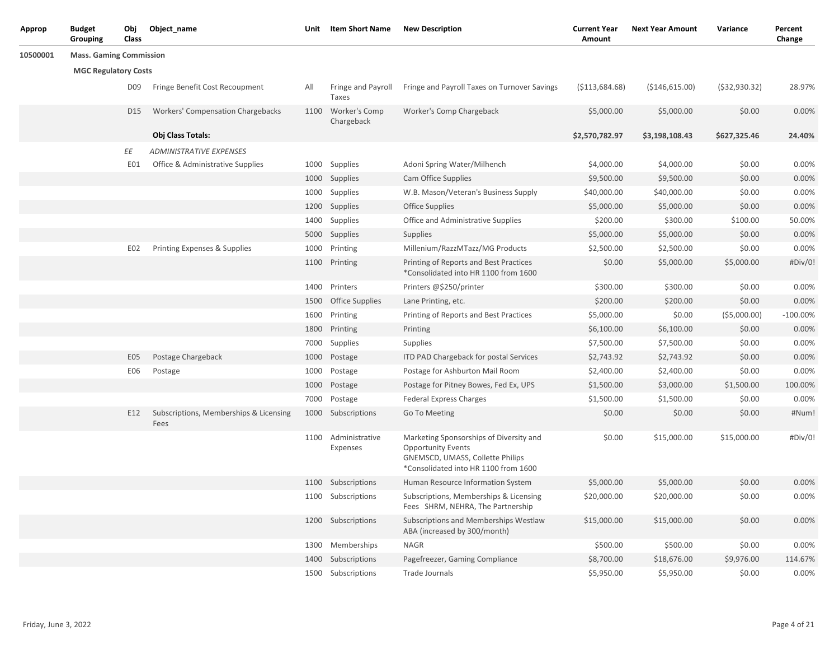| Approp   | <b>Budget</b><br>Grouping      | Obj<br>Class    | Object_name                                    | Unit | <b>Item Short Name</b>          | <b>New Description</b>                                                                                                                                  | <b>Current Year</b><br>Amount | <b>Next Year Amount</b> | Variance        | Percent<br>Change |
|----------|--------------------------------|-----------------|------------------------------------------------|------|---------------------------------|---------------------------------------------------------------------------------------------------------------------------------------------------------|-------------------------------|-------------------------|-----------------|-------------------|
| 10500001 | <b>Mass. Gaming Commission</b> |                 |                                                |      |                                 |                                                                                                                                                         |                               |                         |                 |                   |
|          | <b>MGC Regulatory Costs</b>    |                 |                                                |      |                                 |                                                                                                                                                         |                               |                         |                 |                   |
|          |                                | D <sub>09</sub> | Fringe Benefit Cost Recoupment                 | All  | Fringe and Payroll<br>Taxes     | Fringe and Payroll Taxes on Turnover Savings                                                                                                            | ( \$113,684.68)               | ( \$146, 615.00)        | ( \$32, 930.32) | 28.97%            |
|          |                                | D <sub>15</sub> | <b>Workers' Compensation Chargebacks</b>       | 1100 | Worker's Comp<br>Chargeback     | Worker's Comp Chargeback                                                                                                                                | \$5,000.00                    | \$5,000.00              | \$0.00          | 0.00%             |
|          |                                |                 | Obj Class Totals:                              |      |                                 |                                                                                                                                                         | \$2,570,782.97                | \$3,198,108.43          | \$627,325.46    | 24.40%            |
|          |                                | ΕE              | <b>ADMINISTRATIVE EXPENSES</b>                 |      |                                 |                                                                                                                                                         |                               |                         |                 |                   |
|          |                                | E01             | Office & Administrative Supplies               |      | 1000 Supplies                   | Adoni Spring Water/Milhench                                                                                                                             | \$4,000.00                    | \$4,000.00              | \$0.00          | 0.00%             |
|          |                                |                 |                                                |      | 1000 Supplies                   | Cam Office Supplies                                                                                                                                     | \$9,500.00                    | \$9,500.00              | \$0.00          | 0.00%             |
|          |                                |                 |                                                |      | 1000 Supplies                   | W.B. Mason/Veteran's Business Supply                                                                                                                    | \$40,000.00                   | \$40,000.00             | \$0.00          | 0.00%             |
|          |                                |                 |                                                |      | 1200 Supplies                   | Office Supplies                                                                                                                                         | \$5,000.00                    | \$5,000.00              | \$0.00          | 0.00%             |
|          |                                |                 |                                                |      | 1400 Supplies                   | Office and Administrative Supplies                                                                                                                      | \$200.00                      | \$300.00                | \$100.00        | 50.00%            |
|          |                                |                 |                                                | 5000 | Supplies                        | Supplies                                                                                                                                                | \$5,000.00                    | \$5,000.00              | \$0.00          | 0.00%             |
|          |                                | E02             | Printing Expenses & Supplies                   | 1000 | Printing                        | Millenium/RazzMTazz/MG Products                                                                                                                         | \$2,500.00                    | \$2,500.00              | \$0.00          | 0.00%             |
|          |                                |                 |                                                |      | 1100 Printing                   | Printing of Reports and Best Practices<br>*Consolidated into HR 1100 from 1600                                                                          | \$0.00                        | \$5,000.00              | \$5,000.00      | #Div/0!           |
|          |                                |                 |                                                | 1400 | Printers                        | Printers @\$250/printer                                                                                                                                 | \$300.00                      | \$300.00                | \$0.00          | 0.00%             |
|          |                                |                 |                                                | 1500 | <b>Office Supplies</b>          | Lane Printing, etc.                                                                                                                                     | \$200.00                      | \$200.00                | \$0.00          | 0.00%             |
|          |                                |                 |                                                | 1600 | Printing                        | Printing of Reports and Best Practices                                                                                                                  | \$5,000.00                    | \$0.00                  | ( \$5,000.00)   | $-100.00%$        |
|          |                                |                 |                                                | 1800 | Printing                        | Printing                                                                                                                                                | \$6,100.00                    | \$6,100.00              | \$0.00          | 0.00%             |
|          |                                |                 |                                                | 7000 | Supplies                        | Supplies                                                                                                                                                | \$7,500.00                    | \$7,500.00              | \$0.00          | 0.00%             |
|          |                                | E <sub>05</sub> | Postage Chargeback                             | 1000 | Postage                         | ITD PAD Chargeback for postal Services                                                                                                                  | \$2,743.92                    | \$2,743.92              | \$0.00          | 0.00%             |
|          |                                | E06             | Postage                                        | 1000 | Postage                         | Postage for Ashburton Mail Room                                                                                                                         | \$2,400.00                    | \$2,400.00              | \$0.00          | 0.00%             |
|          |                                |                 |                                                | 1000 | Postage                         | Postage for Pitney Bowes, Fed Ex, UPS                                                                                                                   | \$1,500.00                    | \$3,000.00              | \$1,500.00      | 100.00%           |
|          |                                |                 |                                                | 7000 | Postage                         | Federal Express Charges                                                                                                                                 | \$1,500.00                    | \$1,500.00              | \$0.00          | 0.00%             |
|          |                                | E12             | Subscriptions, Memberships & Licensing<br>Fees | 1000 | Subscriptions                   | Go To Meeting                                                                                                                                           | \$0.00                        | \$0.00                  | \$0.00          | #Num!             |
|          |                                |                 |                                                |      | 1100 Administrative<br>Expenses | Marketing Sponsorships of Diversity and<br><b>Opportunity Events</b><br><b>GNEMSCD, UMASS, Collette Philips</b><br>*Consolidated into HR 1100 from 1600 | \$0.00                        | \$15,000.00             | \$15,000.00     | #Div/0!           |
|          |                                |                 |                                                |      | 1100 Subscriptions              | Human Resource Information System                                                                                                                       | \$5,000.00                    | \$5,000.00              | \$0.00          | 0.00%             |
|          |                                |                 |                                                |      | 1100 Subscriptions              | Subscriptions, Memberships & Licensing<br>Fees SHRM, NEHRA, The Partnership                                                                             | \$20,000.00                   | \$20,000.00             | \$0.00          | $0.00\%$          |
|          |                                |                 |                                                |      | 1200 Subscriptions              | Subscriptions and Memberships Westlaw<br>ABA (increased by 300/month)                                                                                   | \$15,000.00                   | \$15,000.00             | \$0.00          | 0.00%             |
|          |                                |                 |                                                |      | 1300 Memberships                | <b>NAGR</b>                                                                                                                                             | \$500.00                      | \$500.00                | \$0.00          | 0.00%             |
|          |                                |                 |                                                |      | 1400 Subscriptions              | Pagefreezer, Gaming Compliance                                                                                                                          | \$8,700.00                    | \$18,676.00             | \$9,976.00      | 114.67%           |
|          |                                |                 |                                                |      | 1500 Subscriptions              | Trade Journals                                                                                                                                          | \$5,950.00                    | \$5,950.00              | \$0.00          | 0.00%             |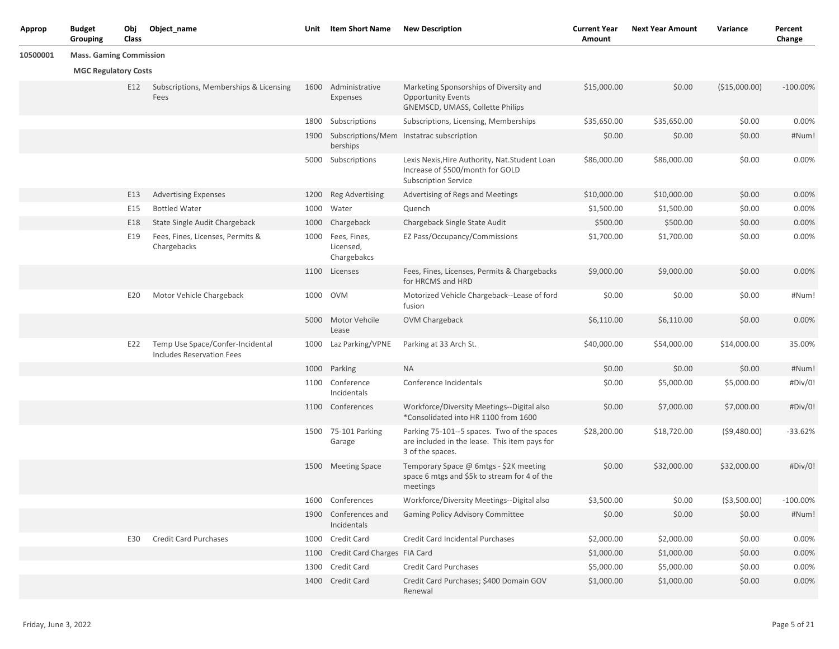| Approp   | <b>Budget</b><br>Grouping      | Obj<br>Class | Object_name                                                          | Unit | <b>Item Short Name</b>                   | <b>New Description</b>                                                                                            | <b>Current Year</b><br>Amount | <b>Next Year Amount</b> | Variance      | Percent<br>Change |
|----------|--------------------------------|--------------|----------------------------------------------------------------------|------|------------------------------------------|-------------------------------------------------------------------------------------------------------------------|-------------------------------|-------------------------|---------------|-------------------|
| 10500001 | <b>Mass. Gaming Commission</b> |              |                                                                      |      |                                          |                                                                                                                   |                               |                         |               |                   |
|          | <b>MGC Regulatory Costs</b>    |              |                                                                      |      |                                          |                                                                                                                   |                               |                         |               |                   |
|          |                                | E12          | Subscriptions, Memberships & Licensing<br>Fees                       | 1600 | Administrative<br>Expenses               | Marketing Sponsorships of Diversity and<br><b>Opportunity Events</b><br>GNEMSCD, UMASS, Collette Philips          | \$15,000.00                   | \$0.00                  | (\$15,000.00) | $-100.00\%$       |
|          |                                |              |                                                                      | 1800 | Subscriptions                            | Subscriptions, Licensing, Memberships                                                                             | \$35,650.00                   | \$35,650.00             | \$0.00        | 0.00%             |
|          |                                |              |                                                                      | 1900 | berships                                 | Subscriptions/Mem Instatrac subscription                                                                          | \$0.00                        | \$0.00                  | \$0.00        | #Num!             |
|          |                                |              |                                                                      |      | 5000 Subscriptions                       | Lexis Nexis, Hire Authority, Nat. Student Loan<br>Increase of \$500/month for GOLD<br><b>Subscription Service</b> | \$86,000.00                   | \$86,000.00             | \$0.00        | 0.00%             |
|          |                                | E13          | <b>Advertising Expenses</b>                                          | 1200 | <b>Reg Advertising</b>                   | Advertising of Regs and Meetings                                                                                  | \$10,000.00                   | \$10,000.00             | \$0.00        | 0.00%             |
|          |                                | E15          | <b>Bottled Water</b>                                                 | 1000 | Water                                    | Quench                                                                                                            | \$1,500.00                    | \$1,500.00              | \$0.00        | 0.00%             |
|          |                                | E18          | State Single Audit Chargeback                                        | 1000 | Chargeback                               | Chargeback Single State Audit                                                                                     | \$500.00                      | \$500.00                | \$0.00        | 0.00%             |
|          |                                | E19          | Fees, Fines, Licenses, Permits &<br>Chargebacks                      | 1000 | Fees, Fines,<br>Licensed,<br>Chargebakcs | EZ Pass/Occupancy/Commissions                                                                                     | \$1,700.00                    | \$1,700.00              | \$0.00        | 0.00%             |
|          |                                |              |                                                                      |      | 1100 Licenses                            | Fees, Fines, Licenses, Permits & Chargebacks<br>for HRCMS and HRD                                                 | \$9,000.00                    | \$9,000.00              | \$0.00        | 0.00%             |
|          |                                | E20          | Motor Vehicle Chargeback                                             |      | 1000 OVM                                 | Motorized Vehicle Chargeback--Lease of ford<br>fusion                                                             | \$0.00                        | \$0.00                  | \$0.00        | #Num!             |
|          |                                |              |                                                                      | 5000 | Motor Vehcile<br>Lease                   | OVM Chargeback                                                                                                    | \$6,110.00                    | \$6,110.00              | \$0.00        | 0.00%             |
|          |                                | E22          | Temp Use Space/Confer-Incidental<br><b>Includes Reservation Fees</b> | 1000 | Laz Parking/VPNE                         | Parking at 33 Arch St.                                                                                            | \$40,000.00                   | \$54,000.00             | \$14,000.00   | 35.00%            |
|          |                                |              |                                                                      | 1000 | Parking                                  | <b>NA</b>                                                                                                         | \$0.00                        | \$0.00                  | \$0.00        | #Num!             |
|          |                                |              |                                                                      | 1100 | Conference<br>Incidentals                | Conference Incidentals                                                                                            | \$0.00                        | \$5,000.00              | \$5,000.00    | #Div/0!           |
|          |                                |              |                                                                      |      | 1100 Conferences                         | Workforce/Diversity Meetings--Digital also<br>*Consolidated into HR 1100 from 1600                                | \$0.00                        | \$7,000.00              | \$7,000.00    | #Div/0!           |
|          |                                |              |                                                                      |      | 1500 75-101 Parking<br>Garage            | Parking 75-101--5 spaces. Two of the spaces<br>are included in the lease. This item pays for<br>3 of the spaces.  | \$28,200.00                   | \$18,720.00             | (59,480.00)   | $-33.62%$         |
|          |                                |              |                                                                      | 1500 | <b>Meeting Space</b>                     | Temporary Space @ 6mtgs - \$2K meeting<br>space 6 mtgs and \$5k to stream for 4 of the<br>meetings                | \$0.00                        | \$32,000.00             | \$32,000.00   | #Div/0!           |
|          |                                |              |                                                                      |      | 1600 Conferences                         | Workforce/Diversity Meetings--Digital also                                                                        | \$3,500.00                    | \$0.00                  | ( \$3,500.00) | $-100.00\%$       |
|          |                                |              |                                                                      | 1900 | Conferences and<br>Incidentals           | Gaming Policy Advisory Committee                                                                                  | \$0.00                        | \$0.00                  | \$0.00        | #Num!             |
|          |                                | E30          | <b>Credit Card Purchases</b>                                         |      | 1000 Credit Card                         | Credit Card Incidental Purchases                                                                                  | \$2,000.00                    | \$2,000.00              | \$0.00        | 0.00%             |
|          |                                |              |                                                                      | 1100 | Credit Card Charges FIA Card             |                                                                                                                   | \$1,000.00                    | \$1,000.00              | \$0.00        | 0.00%             |
|          |                                |              |                                                                      |      | 1300 Credit Card                         | <b>Credit Card Purchases</b>                                                                                      | \$5,000.00                    | \$5,000.00              | \$0.00        | 0.00%             |
|          |                                |              |                                                                      |      | 1400 Credit Card                         | Credit Card Purchases; \$400 Domain GOV<br>Renewal                                                                | \$1,000.00                    | \$1,000.00              | \$0.00        | 0.00%             |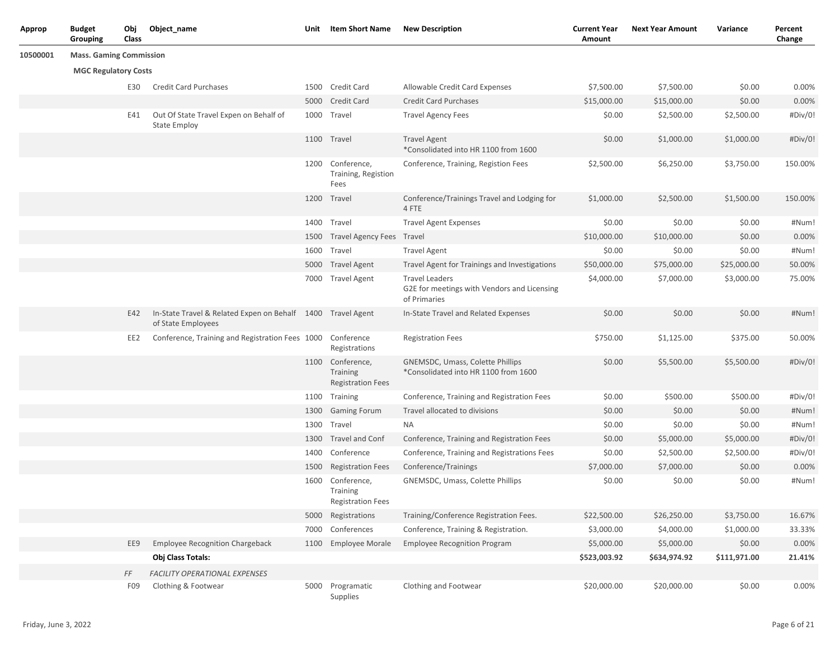| <b>Approp</b> | <b>Budget</b><br>Grouping      | Obj<br>Class | Object_name                                                                       | Unit | <b>Item Short Name</b>                                          | <b>New Description</b>                                                               | <b>Current Year</b><br>Amount | <b>Next Year Amount</b> | Variance     | Percent<br>Change |
|---------------|--------------------------------|--------------|-----------------------------------------------------------------------------------|------|-----------------------------------------------------------------|--------------------------------------------------------------------------------------|-------------------------------|-------------------------|--------------|-------------------|
| 10500001      | <b>Mass. Gaming Commission</b> |              |                                                                                   |      |                                                                 |                                                                                      |                               |                         |              |                   |
|               | <b>MGC Regulatory Costs</b>    |              |                                                                                   |      |                                                                 |                                                                                      |                               |                         |              |                   |
|               |                                | E30          | <b>Credit Card Purchases</b>                                                      |      | 1500 Credit Card                                                | Allowable Credit Card Expenses                                                       | \$7,500.00                    | \$7,500.00              | \$0.00       | 0.00%             |
|               |                                |              |                                                                                   |      | 5000 Credit Card                                                | <b>Credit Card Purchases</b>                                                         | \$15,000.00                   | \$15,000.00             | \$0.00       | 0.00%             |
|               |                                | E41          | Out Of State Travel Expen on Behalf of<br><b>State Employ</b>                     | 1000 | Travel                                                          | <b>Travel Agency Fees</b>                                                            | \$0.00                        | \$2,500.00              | \$2,500.00   | #Div/0!           |
|               |                                |              |                                                                                   |      | 1100 Travel                                                     | <b>Travel Agent</b><br>*Consolidated into HR 1100 from 1600                          | \$0.00                        | \$1,000.00              | \$1,000.00   | #Div/0!           |
|               |                                |              |                                                                                   |      | 1200 Conference,<br>Training, Registion<br>Fees                 | Conference, Training, Registion Fees                                                 | \$2,500.00                    | \$6,250.00              | \$3,750.00   | 150.00%           |
|               |                                |              |                                                                                   | 1200 | Travel                                                          | Conference/Trainings Travel and Lodging for<br>4 FTE                                 | \$1,000.00                    | \$2,500.00              | \$1,500.00   | 150.00%           |
|               |                                |              |                                                                                   | 1400 | Travel                                                          | <b>Travel Agent Expenses</b>                                                         | \$0.00                        | \$0.00                  | \$0.00       | #Num!             |
|               |                                |              |                                                                                   | 1500 | Travel Agency Fees Travel                                       |                                                                                      | \$10,000.00                   | \$10,000.00             | \$0.00       | 0.00%             |
|               |                                |              |                                                                                   | 1600 | Travel                                                          | <b>Travel Agent</b>                                                                  | \$0.00                        | \$0.00                  | \$0.00       | #Num!             |
|               |                                |              |                                                                                   | 5000 | <b>Travel Agent</b>                                             | Travel Agent for Trainings and Investigations                                        | \$50,000.00                   | \$75,000.00             | \$25,000.00  | 50.00%            |
|               |                                |              |                                                                                   | 7000 | <b>Travel Agent</b>                                             | <b>Travel Leaders</b><br>G2E for meetings with Vendors and Licensing<br>of Primaries | \$4,000.00                    | \$7,000.00              | \$3,000.00   | 75.00%            |
|               |                                | E42          | In-State Travel & Related Expen on Behalf 1400 Travel Agent<br>of State Employees |      |                                                                 | In-State Travel and Related Expenses                                                 | \$0.00                        | \$0.00                  | \$0.00       | #Num!             |
|               |                                | EE2          | Conference, Training and Registration Fees 1000 Conference                        |      | Registrations                                                   | <b>Registration Fees</b>                                                             | \$750.00                      | \$1,125.00              | \$375.00     | 50.00%            |
|               |                                |              |                                                                                   |      | 1100 Conference,<br><b>Training</b><br><b>Registration Fees</b> | GNEMSDC, Umass, Colette Phillips<br>*Consolidated into HR 1100 from 1600             | \$0.00                        | \$5,500.00              | \$5,500.00   | #Div/0!           |
|               |                                |              |                                                                                   |      | 1100 Training                                                   | Conference, Training and Registration Fees                                           | \$0.00                        | \$500.00                | \$500.00     | #Div/0!           |
|               |                                |              |                                                                                   | 1300 | <b>Gaming Forum</b>                                             | Travel allocated to divisions                                                        | \$0.00                        | \$0.00                  | \$0.00       | #Num!             |
|               |                                |              |                                                                                   | 1300 | Travel                                                          | <b>NA</b>                                                                            | \$0.00                        | \$0.00                  | \$0.00       | #Num!             |
|               |                                |              |                                                                                   | 1300 | <b>Travel and Conf</b>                                          | Conference, Training and Registration Fees                                           | \$0.00                        | \$5,000.00              | \$5,000.00   | #Div/0!           |
|               |                                |              |                                                                                   | 1400 | Conference                                                      | Conference, Training and Registrations Fees                                          | \$0.00                        | \$2,500.00              | \$2,500.00   | #Div/0!           |
|               |                                |              |                                                                                   | 1500 | <b>Registration Fees</b>                                        | Conference/Trainings                                                                 | \$7,000.00                    | \$7,000.00              | \$0.00       | 0.00%             |
|               |                                |              |                                                                                   | 1600 | Conference,<br><b>Training</b><br><b>Registration Fees</b>      | GNEMSDC, Umass, Colette Phillips                                                     | \$0.00                        | \$0.00                  | \$0.00       | #Num!             |
|               |                                |              |                                                                                   |      | 5000 Registrations                                              | Training/Conference Registration Fees.                                               | \$22,500.00                   | \$26,250.00             | \$3,750.00   | 16.67%            |
|               |                                |              |                                                                                   | 7000 | Conferences                                                     | Conference, Training & Registration.                                                 | \$3,000.00                    | \$4,000.00              | \$1,000.00   | 33.33%            |
|               |                                | EE9          | <b>Employee Recognition Chargeback</b>                                            |      | 1100 Employee Morale                                            | <b>Employee Recognition Program</b>                                                  | \$5,000.00                    | \$5,000.00              | \$0.00       | 0.00%             |
|               |                                |              | Obj Class Totals:                                                                 |      |                                                                 |                                                                                      | \$523,003.92                  | \$634,974.92            | \$111,971.00 | 21.41%            |
|               |                                | FF           | <b>FACILITY OPERATIONAL EXPENSES</b>                                              |      |                                                                 |                                                                                      |                               |                         |              |                   |
|               |                                | F09          | Clothing & Footwear                                                               |      | 5000 Programatic<br>Supplies                                    | Clothing and Footwear                                                                | \$20,000.00                   | \$20,000.00             | \$0.00       | 0.00%             |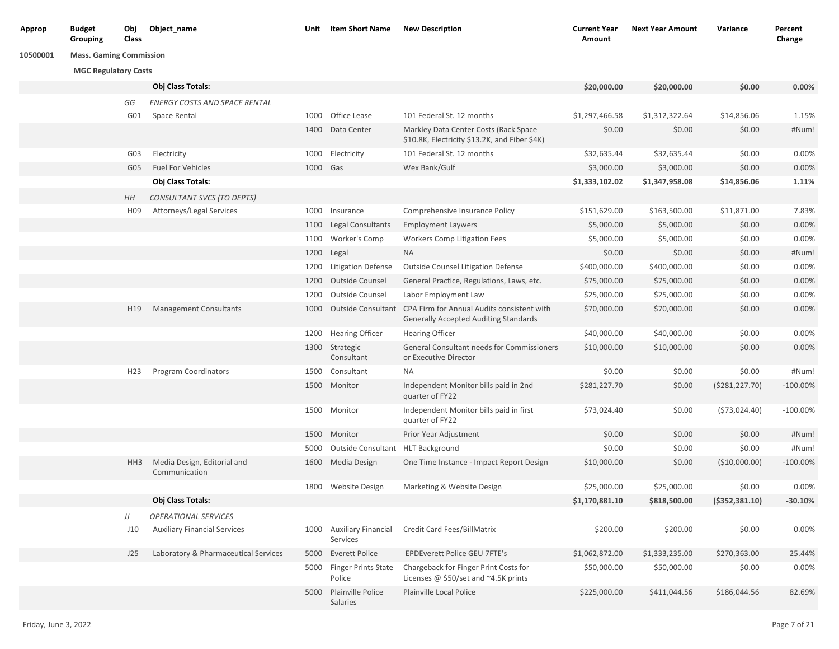| Obj<br><b>Budget</b><br>Object_name<br>Unit Item Short Name<br>New Description<br>Next Year Amount<br><b>Current Year</b> | Variance |
|---------------------------------------------------------------------------------------------------------------------------|----------|
|---------------------------------------------------------------------------------------------------------------------------|----------|

## **10500001 Mass. Gaming Commission**

## **MGC Regulatory Costs**

|                 | <b>Obj Class Totals:</b>                     |          |                                        |                                                                                            | \$20,000.00    | \$20,000.00    | \$0.00           | 0.00%       |
|-----------------|----------------------------------------------|----------|----------------------------------------|--------------------------------------------------------------------------------------------|----------------|----------------|------------------|-------------|
| GG              | <b>ENERGY COSTS AND SPACE RENTAL</b>         |          |                                        |                                                                                            |                |                |                  |             |
| G01             | Space Rental                                 |          | 1000 Office Lease                      | 101 Federal St. 12 months                                                                  | \$1,297,466.58 | \$1,312,322.64 | \$14,856.06      | 1.15%       |
|                 |                                              |          | 1400 Data Center                       | Markley Data Center Costs (Rack Space<br>\$10.8K, Electricity \$13.2K, and Fiber \$4K)     | \$0.00         | \$0.00         | \$0.00           | #Num!       |
| G03             | Electricity                                  | 1000     | Electricity                            | 101 Federal St. 12 months                                                                  | \$32,635.44    | \$32,635.44    | \$0.00           | 0.00%       |
| G05             | <b>Fuel For Vehicles</b>                     | 1000 Gas |                                        | Wex Bank/Gulf                                                                              | \$3,000.00     | \$3,000.00     | \$0.00           | 0.00%       |
|                 | Obj Class Totals:                            |          |                                        |                                                                                            | \$1,333,102.02 | \$1,347,958.08 | \$14,856.06      | 1.11%       |
| HH              | CONSULTANT SVCS (TO DEPTS)                   |          |                                        |                                                                                            |                |                |                  |             |
| H <sub>09</sub> | Attorneys/Legal Services                     | 1000     | Insurance                              | Comprehensive Insurance Policy                                                             | \$151,629.00   | \$163,500.00   | \$11,871.00      | 7.83%       |
|                 |                                              | 1100     | <b>Legal Consultants</b>               | <b>Employment Laywers</b>                                                                  | \$5,000.00     | \$5,000.00     | \$0.00           | 0.00%       |
|                 |                                              | 1100     | Worker's Comp                          | <b>Workers Comp Litigation Fees</b>                                                        | \$5,000.00     | \$5,000.00     | \$0.00           | 0.00%       |
|                 |                                              | 1200     | Legal                                  | <b>NA</b>                                                                                  | \$0.00         | \$0.00         | \$0.00           | #Num!       |
|                 |                                              | 1200     | <b>Litigation Defense</b>              | <b>Outside Counsel Litigation Defense</b>                                                  | \$400,000.00   | \$400,000.00   | \$0.00           | 0.00%       |
|                 |                                              | 1200     | Outside Counsel                        | General Practice, Regulations, Laws, etc.                                                  | \$75,000.00    | \$75,000.00    | \$0.00           | 0.00%       |
|                 |                                              | 1200     | Outside Counsel                        | Labor Employment Law                                                                       | \$25,000.00    | \$25,000.00    | \$0.00           | 0.00%       |
| H19             | <b>Management Consultants</b>                | 1000     | <b>Outside Consultant</b>              | CPA Firm for Annual Audits consistent with<br><b>Generally Accepted Auditing Standards</b> | \$70,000.00    | \$70,000.00    | \$0.00           | 0.00%       |
|                 |                                              | 1200     | <b>Hearing Officer</b>                 | <b>Hearing Officer</b>                                                                     | \$40,000.00    | \$40,000.00    | \$0.00           | 0.00%       |
|                 |                                              |          | 1300 Strategic<br>Consultant           | General Consultant needs for Commissioners<br>or Executive Director                        | \$10,000.00    | \$10,000.00    | \$0.00           | 0.00%       |
| H <sub>23</sub> | <b>Program Coordinators</b>                  | 1500     | Consultant                             | <b>NA</b>                                                                                  | \$0.00         | \$0.00         | \$0.00           | #Num!       |
|                 |                                              | 1500     | Monitor                                | Independent Monitor bills paid in 2nd<br>quarter of FY22                                   | \$281,227.70   | \$0.00         | (5281, 227.70)   | $-100.00\%$ |
|                 |                                              | 1500     | Monitor                                | Independent Monitor bills paid in first<br>quarter of FY22                                 | \$73,024.40    | \$0.00         | (573, 024.40)    | $-100.00\%$ |
|                 |                                              | 1500     | Monitor                                | Prior Year Adjustment                                                                      | \$0.00         | \$0.00         | \$0.00           | #Num!       |
|                 |                                              | 5000     | Outside Consultant                     | <b>HLT Background</b>                                                                      | \$0.00         | \$0.00         | \$0.00           | #Num!       |
| HH3             | Media Design, Editorial and<br>Communication | 1600     | Media Design                           | One Time Instance - Impact Report Design                                                   | \$10,000.00    | \$0.00         | (\$10,000.00)    | $-100.00\%$ |
|                 |                                              | 1800     | Website Design                         | Marketing & Website Design                                                                 | \$25,000.00    | \$25,000.00    | \$0.00           | 0.00%       |
|                 | Obj Class Totals:                            |          |                                        |                                                                                            | \$1,170,881.10 | \$818,500.00   | ( \$352, 381.10) | $-30.10%$   |
| JJ              | <b>OPERATIONAL SERVICES</b>                  |          |                                        |                                                                                            |                |                |                  |             |
| J10             | <b>Auxiliary Financial Services</b>          | 1000     | <b>Auxiliary Financial</b><br>Services | Credit Card Fees/BillMatrix                                                                | \$200.00       | \$200.00       | \$0.00           | 0.00%       |
| J25             | Laboratory & Pharmaceutical Services         | 5000     | <b>Everett Police</b>                  | <b>EPDEverett Police GEU 7FTE's</b>                                                        | \$1,062,872.00 | \$1,333,235.00 | \$270,363.00     | 25.44%      |
|                 |                                              | 5000     | <b>Finger Prints State</b><br>Police   | Chargeback for Finger Print Costs for<br>Licenses @ \$50/set and $\sim$ 4.5K prints        | \$50,000.00    | \$50,000.00    | \$0.00           | 0.00%       |
|                 |                                              | 5000     | Plainville Police<br><b>Salaries</b>   | Plainville Local Police                                                                    | \$225,000.00   | \$411,044.56   | \$186,044.56     | 82.69%      |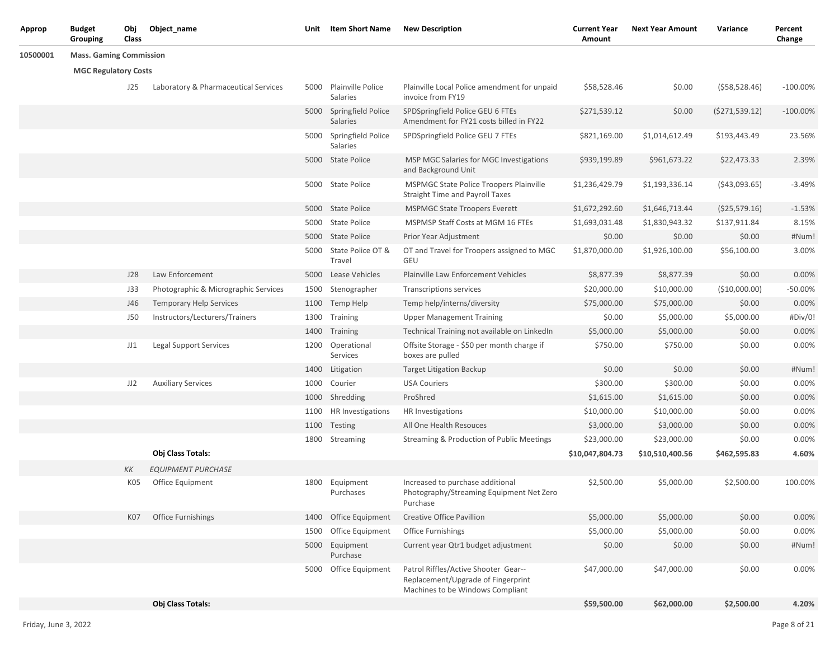| Approp   | <b>Budget</b><br>Grouping      | Obj<br>Class | Object_name                          | Unit | Item Short Name                     | <b>New Description</b>                                                                                         | <b>Current Year</b><br>Amount | <b>Next Year Amount</b> | Variance         | Percent<br>Change |
|----------|--------------------------------|--------------|--------------------------------------|------|-------------------------------------|----------------------------------------------------------------------------------------------------------------|-------------------------------|-------------------------|------------------|-------------------|
| 10500001 | <b>Mass. Gaming Commission</b> |              |                                      |      |                                     |                                                                                                                |                               |                         |                  |                   |
|          | <b>MGC Regulatory Costs</b>    |              |                                      |      |                                     |                                                                                                                |                               |                         |                  |                   |
|          |                                | J25          | Laboratory & Pharmaceutical Services | 5000 | Plainville Police<br>Salaries       | Plainville Local Police amendment for unpaid<br>invoice from FY19                                              | \$58,528.46                   | \$0.00                  | (558, 528.46)    | $-100.00\%$       |
|          |                                |              |                                      |      | 5000 Springfield Police<br>Salaries | SPDSpringfield Police GEU 6 FTEs<br>Amendment for FY21 costs billed in FY22                                    | \$271,539.12                  | \$0.00                  | (5271, 539.12)   | $-100.00\%$       |
|          |                                |              |                                      |      | 5000 Springfield Police<br>Salaries | SPDSpringfield Police GEU 7 FTEs                                                                               | \$821,169.00                  | \$1,014,612.49          | \$193,443.49     | 23.56%            |
|          |                                |              |                                      |      | 5000 State Police                   | MSP MGC Salaries for MGC Investigations<br>and Background Unit                                                 | \$939,199.89                  | \$961,673.22            | \$22,473.33      | 2.39%             |
|          |                                |              |                                      |      | 5000 State Police                   | <b>MSPMGC State Police Troopers Plainville</b><br><b>Straight Time and Payroll Taxes</b>                       | \$1,236,429.79                | \$1,193,336.14          | (543,093.65)     | $-3.49%$          |
|          |                                |              |                                      |      | 5000 State Police                   | <b>MSPMGC State Troopers Everett</b>                                                                           | \$1,672,292.60                | \$1,646,713.44          | $($ \$25,579.16) | $-1.53%$          |
|          |                                |              |                                      |      | 5000 State Police                   | MSPMSP Staff Costs at MGM 16 FTEs                                                                              | \$1,693,031.48                | \$1,830,943.32          | \$137,911.84     | 8.15%             |
|          |                                |              |                                      | 5000 | State Police                        | Prior Year Adjustment                                                                                          | \$0.00                        | \$0.00                  | \$0.00           | #Num!             |
|          |                                |              |                                      | 5000 | State Police OT &<br>Travel         | OT and Travel for Troopers assigned to MGC<br>GEU                                                              | \$1,870,000.00                | \$1,926,100.00          | \$56,100.00      | 3.00%             |
|          |                                | J28          | Law Enforcement                      | 5000 | Lease Vehicles                      | <b>Plainville Law Enforcement Vehicles</b>                                                                     | \$8,877.39                    | \$8,877.39              | \$0.00           | 0.00%             |
|          |                                | J33          | Photographic & Micrographic Services | 1500 | Stenographer                        | <b>Transcriptions services</b>                                                                                 | \$20,000.00                   | \$10,000.00             | (\$10,000.00)    | $-50.00%$         |
|          |                                | J46          | <b>Temporary Help Services</b>       | 1100 | Temp Help                           | Temp help/interns/diversity                                                                                    | \$75,000.00                   | \$75,000.00             | \$0.00           | 0.00%             |
|          |                                | <b>J50</b>   | Instructors/Lecturers/Trainers       |      | 1300 Training                       | <b>Upper Management Training</b>                                                                               | \$0.00                        | \$5,000.00              | \$5,000.00       | #Div/0!           |
|          |                                |              |                                      | 1400 | Training                            | Technical Training not available on LinkedIn                                                                   | \$5,000.00                    | \$5,000.00              | \$0.00           | 0.00%             |
|          |                                | JJ1          | <b>Legal Support Services</b>        | 1200 | Operational<br>Services             | Offsite Storage - \$50 per month charge if<br>boxes are pulled                                                 | \$750.00                      | \$750.00                | \$0.00           | 0.00%             |
|          |                                |              |                                      | 1400 | Litigation                          | <b>Target Litigation Backup</b>                                                                                | \$0.00                        | \$0.00                  | \$0.00           | #Num!             |
|          |                                | JJ2          | <b>Auxiliary Services</b>            | 1000 | Courier                             | <b>USA Couriers</b>                                                                                            | \$300.00                      | \$300.00                | \$0.00           | 0.00%             |
|          |                                |              |                                      |      | 1000 Shredding                      | ProShred                                                                                                       | \$1,615.00                    | \$1,615.00              | \$0.00           | 0.00%             |
|          |                                |              |                                      | 1100 | HR Investigations                   | HR Investigations                                                                                              | \$10,000.00                   | \$10,000.00             | \$0.00           | 0.00%             |
|          |                                |              |                                      | 1100 | Testing                             | All One Health Resouces                                                                                        | \$3,000.00                    | \$3,000.00              | \$0.00           | 0.00%             |
|          |                                |              |                                      | 1800 | Streaming                           | Streaming & Production of Public Meetings                                                                      | \$23,000.00                   | \$23,000.00             | \$0.00           | 0.00%             |
|          |                                |              | Obj Class Totals:                    |      |                                     |                                                                                                                | \$10,047,804.73               | \$10,510,400.56         | \$462,595.83     | 4.60%             |
|          |                                | КK           | <b>EQUIPMENT PURCHASE</b>            |      |                                     |                                                                                                                |                               |                         |                  |                   |
|          |                                | K05          | Office Equipment                     | 1800 | Equipment<br>Purchases              | Increased to purchase additional<br>Photography/Streaming Equipment Net Zero<br>Purchase                       | \$2,500.00                    | \$5,000.00              | \$2,500.00       | 100.00%           |
|          |                                | K07          | <b>Office Furnishings</b>            | 1400 | Office Equipment                    | Creative Office Pavillion                                                                                      | \$5,000.00                    | \$5,000.00              | \$0.00           | 0.00%             |
|          |                                |              |                                      | 1500 | Office Equipment                    | <b>Office Furnishings</b>                                                                                      | \$5,000.00                    | \$5,000.00              | \$0.00           | 0.00%             |
|          |                                |              |                                      | 5000 | Equipment<br>Purchase               | Current year Qtr1 budget adjustment                                                                            | \$0.00                        | \$0.00                  | \$0.00           | #Num!             |
|          |                                |              |                                      |      | 5000 Office Equipment               | Patrol Riffles/Active Shooter Gear--<br>Replacement/Upgrade of Fingerprint<br>Machines to be Windows Compliant | \$47,000.00                   | \$47,000.00             | \$0.00           | 0.00%             |
|          |                                |              | Obj Class Totals:                    |      |                                     |                                                                                                                | \$59,500.00                   | \$62,000.00             | \$2,500.00       | 4.20%             |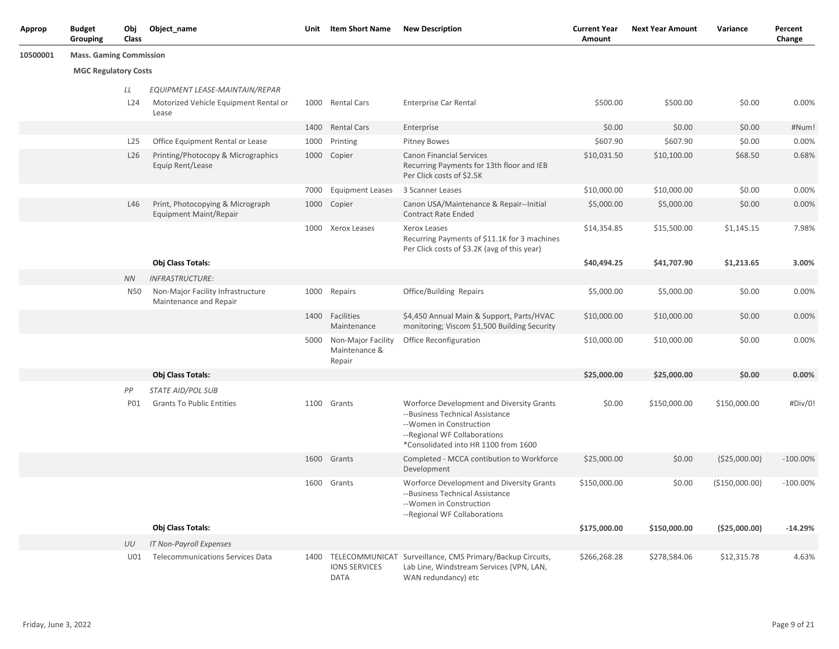| <b>Approp</b> | <b>Budget</b><br>Grouping      | Obj<br>Class | Object name                                                       | Unit | Item Short Name                                    | <b>New Description</b>                                                                                                                                                          | <b>Current Year</b><br>Amount | <b>Next Year Amount</b> | Variance        | Percent<br>Change |
|---------------|--------------------------------|--------------|-------------------------------------------------------------------|------|----------------------------------------------------|---------------------------------------------------------------------------------------------------------------------------------------------------------------------------------|-------------------------------|-------------------------|-----------------|-------------------|
| 10500001      | <b>Mass. Gaming Commission</b> |              |                                                                   |      |                                                    |                                                                                                                                                                                 |                               |                         |                 |                   |
|               | <b>MGC Regulatory Costs</b>    |              |                                                                   |      |                                                    |                                                                                                                                                                                 |                               |                         |                 |                   |
|               |                                | LL           | EQUIPMENT LEASE-MAINTAIN/REPAR                                    |      |                                                    |                                                                                                                                                                                 |                               |                         |                 |                   |
|               |                                | L24          | Motorized Vehicle Equipment Rental or<br>Lease                    |      | 1000 Rental Cars                                   | <b>Enterprise Car Rental</b>                                                                                                                                                    | \$500.00                      | \$500.00                | \$0.00          | 0.00%             |
|               |                                |              |                                                                   |      | 1400 Rental Cars                                   | Enterprise                                                                                                                                                                      | \$0.00                        | \$0.00                  | \$0.00          | #Num!             |
|               |                                | L25          | Office Equipment Rental or Lease                                  |      | 1000 Printing                                      | <b>Pitney Bowes</b>                                                                                                                                                             | \$607.90                      | \$607.90                | \$0.00          | 0.00%             |
|               |                                | L26          | Printing/Photocopy & Micrographics<br>Equip Rent/Lease            |      | 1000 Copier                                        | <b>Canon Financial Services</b><br>Recurring Payments for 13th floor and IEB<br>Per Click costs of \$2.5K                                                                       | \$10,031.50                   | \$10,100.00             | \$68.50         | 0.68%             |
|               |                                |              |                                                                   | 7000 | <b>Equipment Leases</b>                            | 3 Scanner Leases                                                                                                                                                                | \$10,000.00                   | \$10,000.00             | \$0.00          | 0.00%             |
|               |                                | L46          | Print, Photocopying & Micrograph<br><b>Equipment Maint/Repair</b> |      | 1000 Copier                                        | Canon USA/Maintenance & Repair--Initial<br><b>Contract Rate Ended</b>                                                                                                           | \$5,000.00                    | \$5,000.00              | \$0.00          | 0.00%             |
|               |                                |              |                                                                   | 1000 | Xerox Leases                                       | Xerox Leases<br>Recurring Payments of \$11.1K for 3 machines<br>Per Click costs of \$3.2K (avg of this year)                                                                    | \$14,354.85                   | \$15,500.00             | \$1,145.15      | 7.98%             |
|               |                                |              | Obj Class Totals:                                                 |      |                                                    |                                                                                                                                                                                 | \$40,494.25                   | \$41,707.90             | \$1,213.65      | 3.00%             |
|               |                                | <b>NN</b>    | <b>INFRASTRUCTURE:</b>                                            |      |                                                    |                                                                                                                                                                                 |                               |                         |                 |                   |
|               |                                | <b>N50</b>   | Non-Major Facility Infrastructure<br>Maintenance and Repair       |      | 1000 Repairs                                       | Office/Building Repairs                                                                                                                                                         | \$5,000.00                    | \$5,000.00              | \$0.00          | 0.00%             |
|               |                                |              |                                                                   | 1400 | Facilities<br>Maintenance                          | \$4,450 Annual Main & Support, Parts/HVAC<br>monitoring; Viscom \$1,500 Building Security                                                                                       | \$10,000.00                   | \$10,000.00             | \$0.00          | 0.00%             |
|               |                                |              |                                                                   |      | 5000 Non-Major Facility<br>Maintenance &<br>Repair | Office Reconfiguration                                                                                                                                                          | \$10,000.00                   | \$10,000.00             | \$0.00          | 0.00%             |
|               |                                |              | Obj Class Totals:                                                 |      |                                                    |                                                                                                                                                                                 | \$25,000.00                   | \$25,000.00             | \$0.00          | 0.00%             |
|               |                                | PP           | <b>STATE AID/POL SUB</b>                                          |      |                                                    |                                                                                                                                                                                 |                               |                         |                 |                   |
|               |                                | <b>PO1</b>   | <b>Grants To Public Entities</b>                                  |      | 1100 Grants                                        | Worforce Development and Diversity Grants<br>--Business Technical Assistance<br>--Women in Construction<br>--Regional WF Collaborations<br>*Consolidated into HR 1100 from 1600 | \$0.00                        | \$150,000.00            | \$150,000.00    | #Div/0!           |
|               |                                |              |                                                                   |      | 1600 Grants                                        | Completed - MCCA contibution to Workforce<br>Development                                                                                                                        | \$25,000.00                   | \$0.00                  | (\$25,000.00)   | $-100.00\%$       |
|               |                                |              |                                                                   |      | 1600 Grants                                        | Worforce Development and Diversity Grants<br>--Business Technical Assistance<br>--Women in Construction<br>--Regional WF Collaborations                                         | \$150,000.00                  | \$0.00                  | ( \$150,000.00) | $-100.00\%$       |
|               |                                |              | Obj Class Totals:                                                 |      |                                                    |                                                                                                                                                                                 | \$175,000.00                  | \$150,000.00            | ( \$25,000.00)  | $-14.29%$         |
|               |                                | UU           | IT Non-Payroll Expenses                                           |      |                                                    |                                                                                                                                                                                 |                               |                         |                 |                   |
|               |                                | U01          | Telecommunications Services Data                                  |      | <b>IONS SERVICES</b><br>DATA                       | 1400 TELECOMMUNICAT Surveillance, CMS Primary/Backup Circuits,<br>Lab Line, Windstream Services (VPN, LAN,<br>WAN redundancy) etc                                               | \$266,268.28                  | \$278,584.06            | \$12,315.78     | 4.63%             |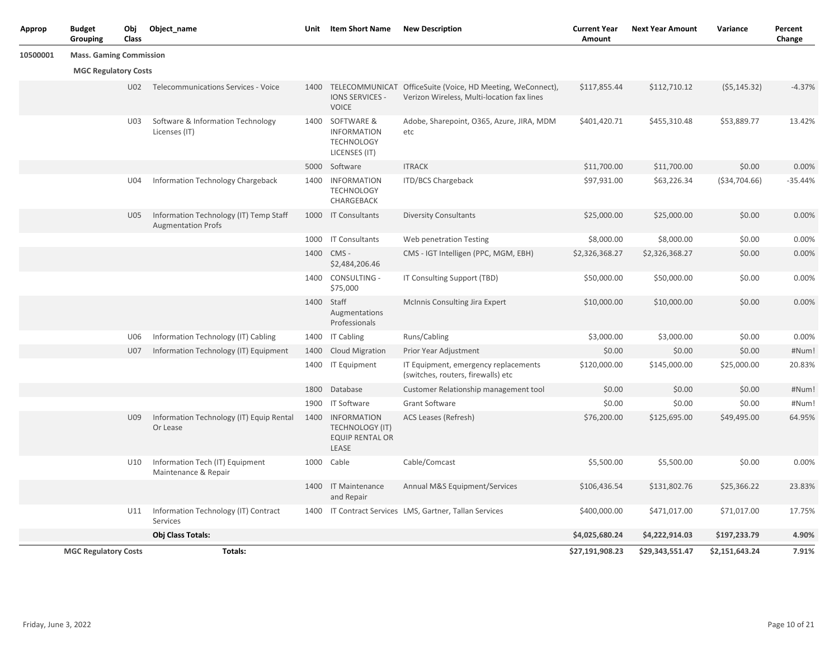| Approp   | <b>Budget</b><br>Grouping      | Obj<br>Class | Object_name                                                         | Unit | <b>Item Short Name</b>                                                      | <b>New Description</b>                                                                                        | <b>Current Year</b><br>Amount | <b>Next Year Amount</b> | Variance        | Percent<br>Change |
|----------|--------------------------------|--------------|---------------------------------------------------------------------|------|-----------------------------------------------------------------------------|---------------------------------------------------------------------------------------------------------------|-------------------------------|-------------------------|-----------------|-------------------|
| 10500001 | <b>Mass. Gaming Commission</b> |              |                                                                     |      |                                                                             |                                                                                                               |                               |                         |                 |                   |
|          | <b>MGC Regulatory Costs</b>    |              |                                                                     |      |                                                                             |                                                                                                               |                               |                         |                 |                   |
|          |                                |              | U02 Telecommunications Services - Voice                             |      | IONS SERVICES -<br><b>VOICE</b>                                             | 1400 TELECOMMUNICAT OfficeSuite (Voice, HD Meeting, WeConnect),<br>Verizon Wireless, Multi-location fax lines | \$117,855.44                  | \$112,710.12            | (55, 145.32)    | $-4.37%$          |
|          |                                | U03          | Software & Information Technology<br>Licenses (IT)                  |      | 1400 SOFTWARE &<br><b>INFORMATION</b><br><b>TECHNOLOGY</b><br>LICENSES (IT) | Adobe, Sharepoint, O365, Azure, JIRA, MDM<br>etc                                                              | \$401,420.71                  | \$455,310.48            | \$53,889.77     | 13.42%            |
|          |                                |              |                                                                     |      | 5000 Software                                                               | <b>ITRACK</b>                                                                                                 | \$11,700.00                   | \$11,700.00             | \$0.00          | 0.00%             |
|          |                                | U04          | Information Technology Chargeback                                   |      | 1400 INFORMATION<br><b>TECHNOLOGY</b><br>CHARGEBACK                         | ITD/BCS Chargeback                                                                                            | \$97,931.00                   | \$63,226.34             | ( \$34, 704.66) | $-35.44%$         |
|          |                                | U05          | Information Technology (IT) Temp Staff<br><b>Augmentation Profs</b> |      | 1000 IT Consultants                                                         | <b>Diversity Consultants</b>                                                                                  | \$25,000.00                   | \$25,000.00             | \$0.00          | 0.00%             |
|          |                                |              |                                                                     |      | 1000 IT Consultants                                                         | Web penetration Testing                                                                                       | \$8,000.00                    | \$8,000.00              | \$0.00          | 0.00%             |
|          |                                |              |                                                                     |      | 1400 CMS -<br>\$2,484,206.46                                                | CMS - IGT Intelligen (PPC, MGM, EBH)                                                                          | \$2,326,368.27                | \$2,326,368.27          | \$0.00          | 0.00%             |
|          |                                |              |                                                                     |      | 1400 CONSULTING -<br>\$75,000                                               | IT Consulting Support (TBD)                                                                                   | \$50,000.00                   | \$50,000.00             | \$0.00          | 0.00%             |
|          |                                |              |                                                                     |      | 1400 Staff<br>Augmentations<br>Professionals                                | McInnis Consulting Jira Expert                                                                                | \$10,000.00                   | \$10,000.00             | \$0.00          | 0.00%             |
|          |                                | U06          | Information Technology (IT) Cabling                                 |      | 1400 IT Cabling                                                             | Runs/Cabling                                                                                                  | \$3,000.00                    | \$3,000.00              | \$0.00          | 0.00%             |
|          |                                | U07          | Information Technology (IT) Equipment                               | 1400 | <b>Cloud Migration</b>                                                      | Prior Year Adjustment                                                                                         | \$0.00                        | \$0.00                  | \$0.00          | #Num!             |
|          |                                |              |                                                                     |      | 1400 IT Equipment                                                           | IT Equipment, emergency replacements<br>(switches, routers, firewalls) etc                                    | \$120,000.00                  | \$145,000.00            | \$25,000.00     | 20.83%            |
|          |                                |              |                                                                     |      | 1800 Database                                                               | Customer Relationship management tool                                                                         | \$0.00                        | \$0.00                  | \$0.00          | #Num!             |
|          |                                |              |                                                                     |      | 1900 IT Software                                                            | Grant Software                                                                                                | \$0.00                        | \$0.00                  | \$0.00          | #Num!             |
|          |                                | U09          | Information Technology (IT) Equip Rental<br>Or Lease                | 1400 | INFORMATION<br><b>TECHNOLOGY (IT)</b><br><b>EQUIP RENTAL OR</b><br>LEASE    | ACS Leases (Refresh)                                                                                          | \$76,200.00                   | \$125,695.00            | \$49,495.00     | 64.95%            |
|          |                                | U10          | Information Tech (IT) Equipment<br>Maintenance & Repair             | 1000 | Cable                                                                       | Cable/Comcast                                                                                                 | \$5,500.00                    | \$5,500.00              | \$0.00          | 0.00%             |
|          |                                |              |                                                                     |      | 1400 IT Maintenance<br>and Repair                                           | Annual M&S Equipment/Services                                                                                 | \$106,436.54                  | \$131,802.76            | \$25,366.22     | 23.83%            |
|          |                                | U11          | Information Technology (IT) Contract<br>Services                    |      |                                                                             | 1400 IT Contract Services LMS, Gartner, Tallan Services                                                       | \$400,000.00                  | \$471,017.00            | \$71,017.00     | 17.75%            |
|          |                                |              | Obj Class Totals:                                                   |      |                                                                             |                                                                                                               | \$4,025,680.24                | \$4,222,914.03          | \$197,233.79    | 4.90%             |
|          | <b>MGC Regulatory Costs</b>    |              | Totals:                                                             |      |                                                                             |                                                                                                               | \$27,191,908.23               | \$29,343,551.47         | \$2,151,643.24  | 7.91%             |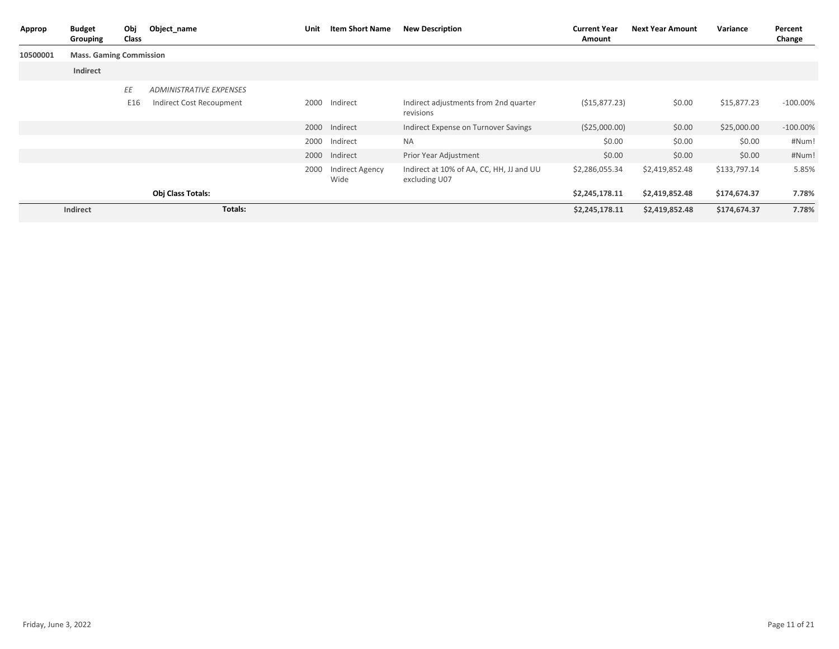| Approp   | <b>Budget</b><br>Grouping      | Obj<br>Class | Object_name                    | Unit | <b>Item Short Name</b>  | <b>New Description</b>                                    | <b>Current Year</b><br>Amount | <b>Next Year Amount</b> | Variance     | Percent<br>Change |
|----------|--------------------------------|--------------|--------------------------------|------|-------------------------|-----------------------------------------------------------|-------------------------------|-------------------------|--------------|-------------------|
| 10500001 | <b>Mass. Gaming Commission</b> |              |                                |      |                         |                                                           |                               |                         |              |                   |
|          | Indirect                       |              |                                |      |                         |                                                           |                               |                         |              |                   |
|          |                                | ΕE           | <b>ADMINISTRATIVE EXPENSES</b> |      |                         |                                                           |                               |                         |              |                   |
|          |                                | E16          | Indirect Cost Recoupment       | 2000 | Indirect                | Indirect adjustments from 2nd quarter<br>revisions        | (515, 877.23)                 | \$0.00                  | \$15,877.23  | $-100.00\%$       |
|          |                                |              |                                |      | 2000 Indirect           | Indirect Expense on Turnover Savings                      | ( \$25,000.00)                | \$0.00                  | \$25,000.00  | $-100.00\%$       |
|          |                                |              |                                | 2000 | Indirect                | <b>NA</b>                                                 | \$0.00                        | \$0.00                  | \$0.00       | #Num!             |
|          |                                |              |                                |      | 2000 Indirect           | Prior Year Adjustment                                     | \$0.00                        | \$0.00                  | \$0.00       | #Num!             |
|          |                                |              |                                | 2000 | Indirect Agency<br>Wide | Indirect at 10% of AA, CC, HH, JJ and UU<br>excluding U07 | \$2,286,055.34                | \$2,419,852.48          | \$133,797.14 | 5.85%             |
|          |                                |              | <b>Obj Class Totals:</b>       |      |                         |                                                           | \$2,245,178.11                | \$2,419,852.48          | \$174,674.37 | 7.78%             |
|          | Indirect                       |              | Totals:                        |      |                         |                                                           | \$2,245,178.11                | \$2,419,852.48          | \$174,674.37 | 7.78%             |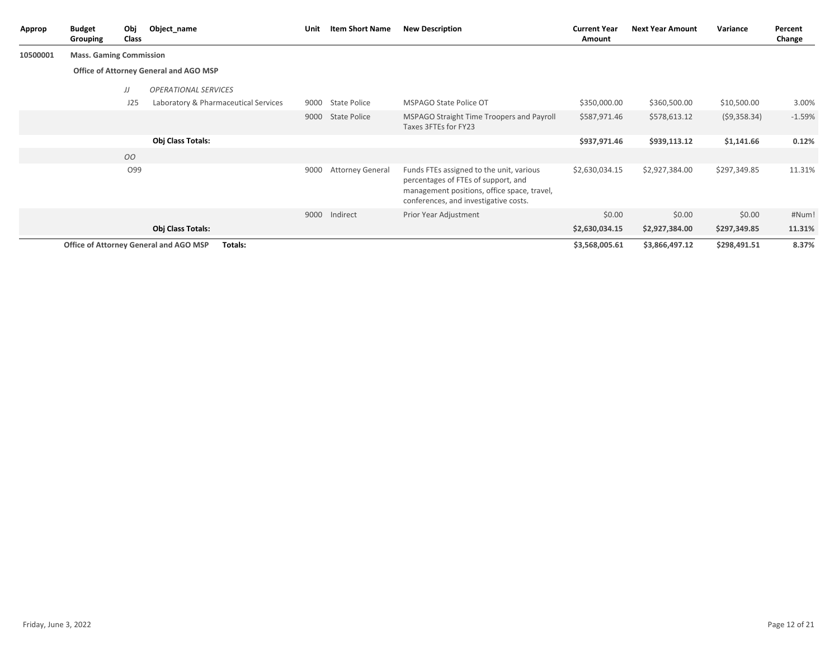| Approp   | <b>Budget</b><br>Grouping              | Obj<br>Class    | Object_name                                       | Unit | <b>Item Short Name</b>  | <b>New Description</b>                                                                                                                                                  | <b>Current Year</b><br>Amount | <b>Next Year Amount</b> | Variance     | Percent<br>Change |  |  |
|----------|----------------------------------------|-----------------|---------------------------------------------------|------|-------------------------|-------------------------------------------------------------------------------------------------------------------------------------------------------------------------|-------------------------------|-------------------------|--------------|-------------------|--|--|
| 10500001 | <b>Mass. Gaming Commission</b>         |                 |                                                   |      |                         |                                                                                                                                                                         |                               |                         |              |                   |  |  |
|          | Office of Attorney General and AGO MSP |                 |                                                   |      |                         |                                                                                                                                                                         |                               |                         |              |                   |  |  |
|          |                                        | JJ              | <b>OPERATIONAL SERVICES</b>                       |      |                         |                                                                                                                                                                         |                               |                         |              |                   |  |  |
|          |                                        | J25             | Laboratory & Pharmaceutical Services              | 9000 | <b>State Police</b>     | MSPAGO State Police OT                                                                                                                                                  | \$350,000.00                  | \$360,500.00            | \$10,500.00  | 3.00%             |  |  |
|          |                                        |                 |                                                   | 9000 | <b>State Police</b>     | MSPAGO Straight Time Troopers and Payroll<br>Taxes 3FTEs for FY23                                                                                                       | \$587,971.46                  | \$578,613.12            | (59,358.34)  | $-1.59%$          |  |  |
|          |                                        |                 | Obj Class Totals:                                 |      |                         |                                                                                                                                                                         | \$937,971.46                  | \$939,113.12            | \$1,141.66   | 0.12%             |  |  |
|          |                                        | 00              |                                                   |      |                         |                                                                                                                                                                         |                               |                         |              |                   |  |  |
|          |                                        | O <sub>99</sub> |                                                   | 9000 | <b>Attorney General</b> | Funds FTEs assigned to the unit, various<br>percentages of FTEs of support, and<br>management positions, office space, travel,<br>conferences, and investigative costs. | \$2,630,034.15                | \$2,927,384.00          | \$297,349.85 | 11.31%            |  |  |
|          |                                        |                 |                                                   | 9000 | Indirect                | Prior Year Adjustment                                                                                                                                                   | \$0.00                        | \$0.00                  | \$0.00       | #Num!             |  |  |
|          |                                        |                 | <b>Obj Class Totals:</b>                          |      |                         |                                                                                                                                                                         | \$2,630,034.15                | \$2,927,384.00          | \$297,349.85 | 11.31%            |  |  |
|          |                                        |                 | Office of Attorney General and AGO MSP<br>Totals: |      |                         |                                                                                                                                                                         | \$3,568,005.61                | \$3,866,497.12          | \$298,491.51 | 8.37%             |  |  |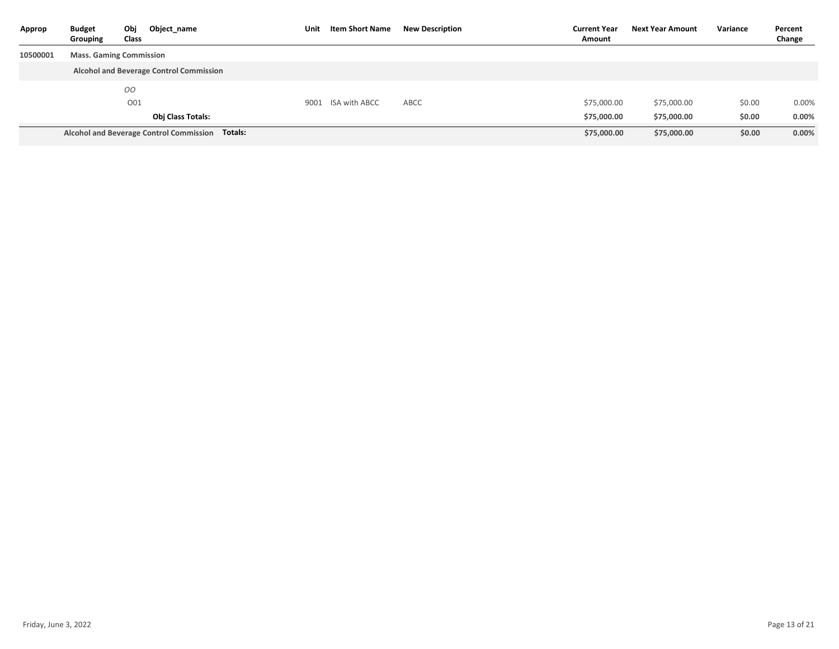| Approp   | <b>Budget</b><br>Grouping      | Obj<br>Class | Object name                                     | Unit | <b>Item Short Name</b> | <b>New Description</b> | <b>Current Year</b><br>Amount | Next Year Amount | Variance | Percent<br>Change |
|----------|--------------------------------|--------------|-------------------------------------------------|------|------------------------|------------------------|-------------------------------|------------------|----------|-------------------|
| 10500001 | <b>Mass. Gaming Commission</b> |              |                                                 |      |                        |                        |                               |                  |          |                   |
|          |                                |              | <b>Alcohol and Beverage Control Commission</b>  |      |                        |                        |                               |                  |          |                   |
|          |                                | OO           |                                                 |      |                        |                        |                               |                  |          |                   |
|          |                                | O01          |                                                 |      | 9001 ISA with ABCC     | ABCC                   | \$75,000.00                   | \$75,000.00      | \$0.00   | $0.00\%$          |
|          |                                |              | <b>Obj Class Totals:</b>                        |      |                        |                        | \$75,000.00                   | \$75,000.00      | \$0.00   | 0.00%             |
|          |                                |              | Alcohol and Beverage Control Commission Totals: |      |                        |                        | \$75,000.00                   | \$75,000.00      | \$0.00   | 0.00%             |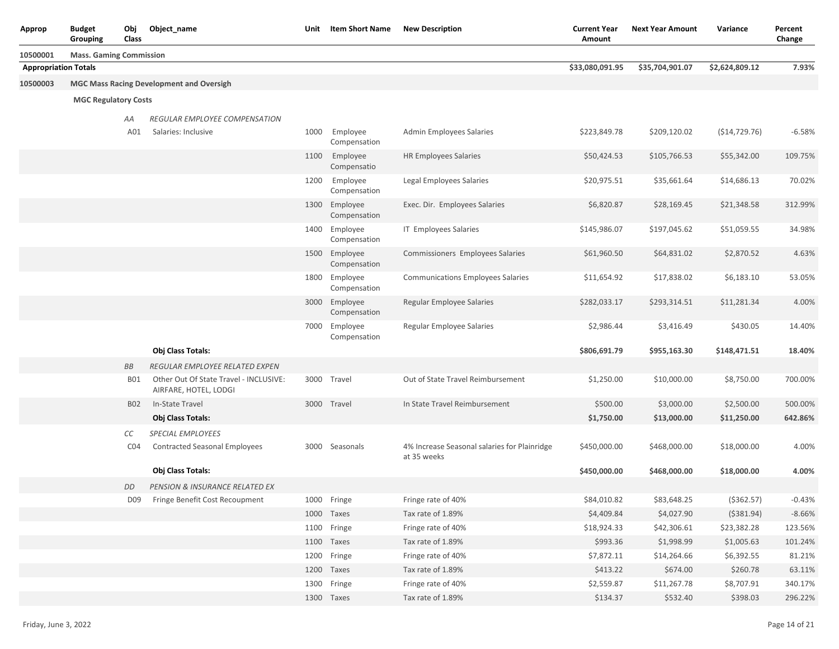| Approp                      | <b>Budget</b><br>Grouping      | Obj<br>Class    | Object_name                                                     |      | Unit Item Short Name          | <b>New Description</b>                                      | <b>Current Year</b><br>Amount | <b>Next Year Amount</b> | Variance        | Percent<br>Change |
|-----------------------------|--------------------------------|-----------------|-----------------------------------------------------------------|------|-------------------------------|-------------------------------------------------------------|-------------------------------|-------------------------|-----------------|-------------------|
| 10500001                    | <b>Mass. Gaming Commission</b> |                 |                                                                 |      |                               |                                                             |                               |                         |                 |                   |
| <b>Appropriation Totals</b> |                                |                 |                                                                 |      |                               |                                                             | \$33,080,091.95               | \$35,704,901.07         | \$2,624,809.12  | 7.93%             |
| 10500003                    |                                |                 | <b>MGC Mass Racing Development and Oversigh</b>                 |      |                               |                                                             |                               |                         |                 |                   |
|                             | <b>MGC Regulatory Costs</b>    |                 |                                                                 |      |                               |                                                             |                               |                         |                 |                   |
|                             |                                | ΑA              | REGULAR EMPLOYEE COMPENSATION                                   |      |                               |                                                             |                               |                         |                 |                   |
|                             |                                | A01             | Salaries: Inclusive                                             | 1000 | Employee<br>Compensation      | Admin Employees Salaries                                    | \$223,849.78                  | \$209,120.02            | ( \$14, 729.76) | $-6.58%$          |
|                             |                                |                 |                                                                 | 1100 | Employee<br>Compensatio       | <b>HR Employees Salaries</b>                                | \$50,424.53                   | \$105,766.53            | \$55,342.00     | 109.75%           |
|                             |                                |                 |                                                                 | 1200 | Employee<br>Compensation      | Legal Employees Salaries                                    | \$20,975.51                   | \$35,661.64             | \$14,686.13     | 70.02%            |
|                             |                                |                 |                                                                 |      | 1300 Employee<br>Compensation | Exec. Dir. Employees Salaries                               | \$6,820.87                    | \$28,169.45             | \$21,348.58     | 312.99%           |
|                             |                                |                 |                                                                 |      | 1400 Employee<br>Compensation | IT Employees Salaries                                       | \$145,986.07                  | \$197,045.62            | \$51,059.55     | 34.98%            |
|                             |                                |                 |                                                                 |      | 1500 Employee<br>Compensation | Commissioners Employees Salaries                            | \$61,960.50                   | \$64,831.02             | \$2,870.52      | 4.63%             |
|                             |                                |                 |                                                                 |      | 1800 Employee<br>Compensation | <b>Communications Employees Salaries</b>                    | \$11,654.92                   | \$17,838.02             | \$6,183.10      | 53.05%            |
|                             |                                |                 |                                                                 |      | 3000 Employee<br>Compensation | Regular Employee Salaries                                   | \$282,033.17                  | \$293,314.51            | \$11,281.34     | 4.00%             |
|                             |                                |                 |                                                                 |      | 7000 Employee<br>Compensation | Regular Employee Salaries                                   | \$2,986.44                    | \$3,416.49              | \$430.05        | 14.40%            |
|                             |                                |                 | Obj Class Totals:                                               |      |                               |                                                             | \$806,691.79                  | \$955,163.30            | \$148,471.51    | 18.40%            |
|                             |                                | <b>BB</b>       | REGULAR EMPLOYEE RELATED EXPEN                                  |      |                               |                                                             |                               |                         |                 |                   |
|                             |                                | <b>BO1</b>      | Other Out Of State Travel - INCLUSIVE:<br>AIRFARE, HOTEL, LODGI |      | 3000 Travel                   | Out of State Travel Reimbursement                           | \$1,250.00                    | \$10,000.00             | \$8,750.00      | 700.00%           |
|                             |                                | <b>B02</b>      | In-State Travel                                                 |      | 3000 Travel                   | In State Travel Reimbursement                               | \$500.00                      | \$3,000.00              | \$2,500.00      | 500.00%           |
|                             |                                |                 | Obj Class Totals:                                               |      |                               |                                                             | \$1,750.00                    | \$13,000.00             | \$11,250.00     | 642.86%           |
|                             |                                | СC              | <b>SPECIAL EMPLOYEES</b>                                        |      |                               |                                                             |                               |                         |                 |                   |
|                             |                                | CO <sub>4</sub> | <b>Contracted Seasonal Employees</b>                            |      | 3000 Seasonals                | 4% Increase Seasonal salaries for Plainridge<br>at 35 weeks | \$450,000.00                  | \$468,000.00            | \$18,000.00     | 4.00%             |
|                             |                                |                 | <b>Obj Class Totals:</b>                                        |      |                               |                                                             | \$450,000.00                  | \$468,000.00            | \$18,000.00     | 4.00%             |
|                             |                                | DD              | <b>PENSION &amp; INSURANCE RELATED EX</b>                       |      |                               |                                                             |                               |                         |                 |                   |
|                             |                                |                 | D09 Fringe Benefit Cost Recoupment                              |      | 1000 Fringe                   | Fringe rate of 40%                                          | \$84,010.82                   | \$83,648.25             | ( \$362.57)     | $-0.43%$          |
|                             |                                |                 |                                                                 |      | 1000 Taxes                    | Tax rate of 1.89%                                           | \$4,409.84                    | \$4,027.90              | ( \$381.94)     | $-8.66%$          |
|                             |                                |                 |                                                                 |      | 1100 Fringe                   | Fringe rate of 40%                                          | \$18,924.33                   | \$42,306.61             | \$23,382.28     | 123.56%           |
|                             |                                |                 |                                                                 |      | 1100 Taxes                    | Tax rate of 1.89%                                           | \$993.36                      | \$1,998.99              | \$1,005.63      | 101.24%           |
|                             |                                |                 |                                                                 |      | 1200 Fringe                   | Fringe rate of 40%                                          | \$7,872.11                    | \$14,264.66             | \$6,392.55      | 81.21%            |
|                             |                                |                 |                                                                 |      | 1200 Taxes                    | Tax rate of 1.89%                                           | \$413.22                      | \$674.00                | \$260.78        | 63.11%            |
|                             |                                |                 |                                                                 |      | 1300 Fringe                   | Fringe rate of 40%                                          | \$2,559.87                    | \$11,267.78             | \$8,707.91      | 340.17%           |
|                             |                                |                 |                                                                 |      | 1300 Taxes                    | Tax rate of 1.89%                                           | \$134.37                      | \$532.40                | \$398.03        | 296.22%           |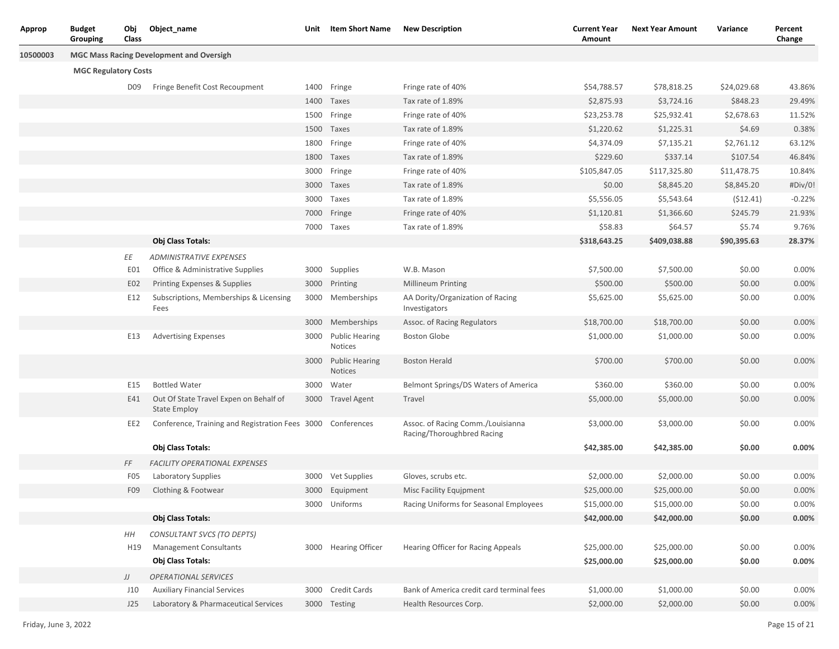| Approp   | Budget<br>Grouping          | Obj<br>Class    | Object_name                                                   | Unit | Item Short Name                  | <b>New Description</b>                                          | <b>Current Year</b><br>Amount | <b>Next Year Amount</b> | Variance    | Percent<br>Change |
|----------|-----------------------------|-----------------|---------------------------------------------------------------|------|----------------------------------|-----------------------------------------------------------------|-------------------------------|-------------------------|-------------|-------------------|
| 10500003 |                             |                 | <b>MGC Mass Racing Development and Oversigh</b>               |      |                                  |                                                                 |                               |                         |             |                   |
|          | <b>MGC Regulatory Costs</b> |                 |                                                               |      |                                  |                                                                 |                               |                         |             |                   |
|          |                             | D09             | Fringe Benefit Cost Recoupment                                |      | 1400 Fringe                      | Fringe rate of 40%                                              | \$54,788.57                   | \$78,818.25             | \$24,029.68 | 43.86%            |
|          |                             |                 |                                                               |      | 1400 Taxes                       | Tax rate of 1.89%                                               | \$2,875.93                    | \$3,724.16              | \$848.23    | 29.49%            |
|          |                             |                 |                                                               | 1500 | Fringe                           | Fringe rate of 40%                                              | \$23,253.78                   | \$25,932.41             | \$2,678.63  | 11.52%            |
|          |                             |                 |                                                               |      | 1500 Taxes                       | Tax rate of 1.89%                                               | \$1,220.62                    | \$1,225.31              | \$4.69      | 0.38%             |
|          |                             |                 |                                                               | 1800 | Fringe                           | Fringe rate of 40%                                              | \$4,374.09                    | \$7,135.21              | \$2,761.12  | 63.12%            |
|          |                             |                 |                                                               |      | 1800 Taxes                       | Tax rate of 1.89%                                               | \$229.60                      | \$337.14                | \$107.54    | 46.84%            |
|          |                             |                 |                                                               | 3000 | Fringe                           | Fringe rate of 40%                                              | \$105,847.05                  | \$117,325.80            | \$11,478.75 | 10.84%            |
|          |                             |                 |                                                               | 3000 | Taxes                            | Tax rate of 1.89%                                               | \$0.00                        | \$8,845.20              | \$8,845.20  | #Div/0!           |
|          |                             |                 |                                                               | 3000 | Taxes                            | Tax rate of 1.89%                                               | \$5,556.05                    | \$5,543.64              | (512.41)    | $-0.22%$          |
|          |                             |                 |                                                               | 7000 | Fringe                           | Fringe rate of 40%                                              | \$1,120.81                    | \$1,366.60              | \$245.79    | 21.93%            |
|          |                             |                 |                                                               |      | 7000 Taxes                       | Tax rate of 1.89%                                               | \$58.83                       | \$64.57                 | \$5.74      | 9.76%             |
|          |                             |                 | Obj Class Totals:                                             |      |                                  |                                                                 | \$318,643.25                  | \$409,038.88            | \$90,395.63 | 28.37%            |
|          |                             | ΕE              | <b>ADMINISTRATIVE EXPENSES</b>                                |      |                                  |                                                                 |                               |                         |             |                   |
|          |                             | E01             | Office & Administrative Supplies                              |      | 3000 Supplies                    | W.B. Mason                                                      | \$7,500.00                    | \$7,500.00              | \$0.00      | 0.00%             |
|          |                             | E02             | Printing Expenses & Supplies                                  |      | 3000 Printing                    | Millineum Printing                                              | \$500.00                      | \$500.00                | \$0.00      | 0.00%             |
|          |                             | E12             | Subscriptions, Memberships & Licensing<br>Fees                | 3000 | Memberships                      | AA Dority/Organization of Racing<br>Investigators               | \$5,625.00                    | \$5,625.00              | \$0.00      | 0.00%             |
|          |                             |                 |                                                               |      | 3000 Memberships                 | Assoc. of Racing Regulators                                     | \$18,700.00                   | \$18,700.00             | \$0.00      | 0.00%             |
|          |                             | E13             | <b>Advertising Expenses</b>                                   | 3000 | <b>Public Hearing</b><br>Notices | <b>Boston Globe</b>                                             | \$1,000.00                    | \$1,000.00              | \$0.00      | 0.00%             |
|          |                             |                 |                                                               |      | 3000 Public Hearing<br>Notices   | <b>Boston Herald</b>                                            | \$700.00                      | \$700.00                | \$0.00      | 0.00%             |
|          |                             | E15             | <b>Bottled Water</b>                                          |      | 3000 Water                       | Belmont Springs/DS Waters of America                            | \$360.00                      | \$360.00                | \$0.00      | 0.00%             |
|          |                             | E41             | Out Of State Travel Expen on Behalf of<br><b>State Employ</b> |      | 3000 Travel Agent                | Travel                                                          | \$5,000.00                    | \$5,000.00              | \$0.00      | 0.00%             |
|          |                             | EE2             | Conference, Training and Registration Fees 3000 Conferences   |      |                                  | Assoc. of Racing Comm./Louisianna<br>Racing/Thoroughbred Racing | \$3,000.00                    | \$3,000.00              | \$0.00      | 0.00%             |
|          |                             |                 | Obj Class Totals:                                             |      |                                  |                                                                 | \$42,385.00                   | \$42,385.00             | \$0.00      | 0.00%             |
|          |                             | FF              | <b>FACILITY OPERATIONAL EXPENSES</b>                          |      |                                  |                                                                 |                               |                         |             |                   |
|          |                             | F <sub>05</sub> | Laboratory Supplies                                           |      | 3000 Vet Supplies                | Gloves, scrubs etc.                                             | \$2,000.00                    | \$2,000.00              | \$0.00      | 0.00%             |
|          |                             | F09             | Clothing & Footwear                                           | 3000 | Equipment                        | Misc Facility Equipment                                         | \$25,000.00                   | \$25,000.00             | \$0.00      | 0.00%             |
|          |                             |                 |                                                               |      | 3000 Uniforms                    | Racing Uniforms for Seasonal Employees                          | \$15,000.00                   | \$15,000.00             | \$0.00      | 0.00%             |
|          |                             |                 | Obj Class Totals:                                             |      |                                  |                                                                 | \$42,000.00                   | \$42,000.00             | \$0.00      | 0.00%             |
|          |                             | HH              | CONSULTANT SVCS (TO DEPTS)                                    |      |                                  |                                                                 |                               |                         |             |                   |
|          |                             | H19             | Management Consultants                                        |      | 3000 Hearing Officer             | Hearing Officer for Racing Appeals                              | \$25,000.00                   | \$25,000.00             | \$0.00      | 0.00%             |
|          |                             |                 | Obj Class Totals:                                             |      |                                  |                                                                 | \$25,000.00                   | \$25,000.00             | \$0.00      | 0.00%             |
|          |                             | IJ              | OPERATIONAL SERVICES                                          |      |                                  |                                                                 |                               |                         |             |                   |
|          |                             | J10             | <b>Auxiliary Financial Services</b>                           |      | 3000 Credit Cards                | Bank of America credit card terminal fees                       | \$1,000.00                    | \$1,000.00              | \$0.00      | 0.00%             |
|          |                             | J25             | Laboratory & Pharmaceutical Services                          |      | 3000 Testing                     | Health Resources Corp.                                          | \$2,000.00                    | \$2,000.00              | \$0.00      | 0.00%             |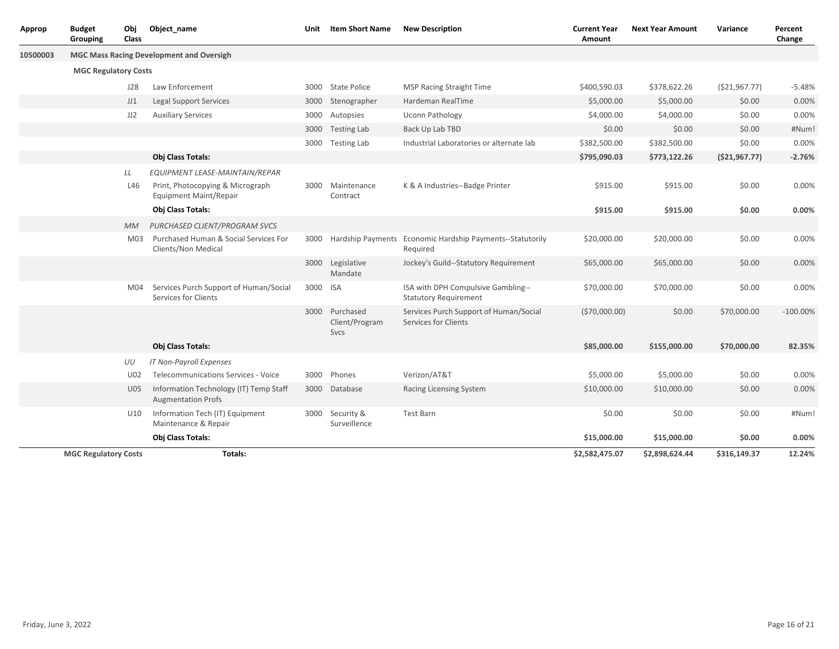| Approp   | <b>Budget</b><br>Grouping   | Obj<br><b>Class</b> | Object name                                                                                         | Unit | <b>Item Short Name</b>                   | <b>New Description</b>                                                     | <b>Current Year</b><br><b>Amount</b> | <b>Next Year Amount</b> | Variance        | Percent<br>Change |
|----------|-----------------------------|---------------------|-----------------------------------------------------------------------------------------------------|------|------------------------------------------|----------------------------------------------------------------------------|--------------------------------------|-------------------------|-----------------|-------------------|
| 10500003 |                             |                     | <b>MGC Mass Racing Development and Oversigh</b>                                                     |      |                                          |                                                                            |                                      |                         |                 |                   |
|          | <b>MGC Regulatory Costs</b> |                     |                                                                                                     |      |                                          |                                                                            |                                      |                         |                 |                   |
|          |                             | J28                 | Law Enforcement                                                                                     | 3000 | <b>State Police</b>                      | <b>MSP Racing Straight Time</b>                                            | \$400,590.03                         | \$378,622.26            | ( \$21, 967.77) | $-5.48%$          |
|          |                             | JJ1                 | <b>Legal Support Services</b>                                                                       | 3000 | Stenographer                             | Hardeman RealTime                                                          | \$5,000.00                           | \$5,000.00              | \$0.00          | 0.00%             |
|          |                             | JJ2                 | <b>Auxiliary Services</b>                                                                           | 3000 | Autopsies                                | Uconn Pathology                                                            | \$4,000.00                           | \$4,000.00              | \$0.00          | 0.00%             |
|          |                             |                     |                                                                                                     |      | 3000 Testing Lab                         | Back Up Lab TBD                                                            | \$0.00                               | \$0.00                  | \$0.00          | #Num!             |
|          |                             |                     |                                                                                                     | 3000 | <b>Testing Lab</b>                       | Industrial Laboratories or alternate lab                                   | \$382,500.00                         | \$382,500.00            | \$0.00          | 0.00%             |
|          |                             |                     | Obj Class Totals:                                                                                   |      |                                          |                                                                            | \$795,090.03                         | \$773,122.26            | (\$21,967.77)   | $-2.76%$          |
|          |                             | LL<br>L46           | EQUIPMENT LEASE-MAINTAIN/REPAR<br>Print, Photocopying & Micrograph<br><b>Equipment Maint/Repair</b> | 3000 | Maintenance<br>Contract                  | K & A Industries--Badge Printer                                            | \$915.00                             | \$915.00                | \$0.00          | 0.00%             |
|          |                             |                     | Obj Class Totals:                                                                                   |      |                                          |                                                                            | \$915.00                             | \$915.00                | \$0.00          | 0.00%             |
|          |                             | <b>MM</b>           | PURCHASED CLIENT/PROGRAM SVCS                                                                       |      |                                          |                                                                            |                                      |                         |                 |                   |
|          |                             | M <sub>03</sub>     | Purchased Human & Social Services For<br>Clients/Non Medical                                        |      |                                          | 3000 Hardship Payments Economic Hardship Payments--Statutorily<br>Required | \$20,000.00                          | \$20,000.00             | \$0.00          | 0.00%             |
|          |                             |                     |                                                                                                     |      | 3000 Legislative<br>Mandate              | Jockey's Guild--Statutory Requirement                                      | \$65,000.00                          | \$65,000.00             | \$0.00          | 0.00%             |
|          |                             | M04                 | Services Purch Support of Human/Social<br>Services for Clients                                      | 3000 | <b>ISA</b>                               | ISA with DPH Compulsive Gambling--<br><b>Statutory Requirement</b>         | \$70,000.00                          | \$70,000.00             | \$0.00          | 0.00%             |
|          |                             |                     |                                                                                                     |      | 3000 Purchased<br>Client/Program<br>Svcs | Services Purch Support of Human/Social<br><b>Services for Clients</b>      | (570,000.00)                         | \$0.00                  | \$70,000.00     | $-100.00\%$       |
|          |                             |                     | <b>Obj Class Totals:</b>                                                                            |      |                                          |                                                                            | \$85,000.00                          | \$155,000.00            | \$70,000.00     | 82.35%            |
|          |                             | UU                  | <b>IT Non-Payroll Expenses</b>                                                                      |      |                                          |                                                                            |                                      |                         |                 |                   |
|          |                             | U02                 | <b>Telecommunications Services - Voice</b>                                                          | 3000 | Phones                                   | Verizon/AT&T                                                               | \$5,000.00                           | \$5,000.00              | \$0.00          | 0.00%             |
|          |                             | U05                 | Information Technology (IT) Temp Staff<br><b>Augmentation Profs</b>                                 |      | 3000 Database                            | Racing Licensing System                                                    | \$10,000.00                          | \$10,000.00             | \$0.00          | 0.00%             |
|          |                             | U10                 | Information Tech (IT) Equipment<br>Maintenance & Repair                                             |      | 3000 Security &<br>Surveillence          | <b>Test Barn</b>                                                           | \$0.00                               | \$0.00                  | \$0.00          | #Num!             |
|          |                             |                     | Obj Class Totals:                                                                                   |      |                                          |                                                                            | \$15,000.00                          | \$15,000.00             | \$0.00          | 0.00%             |
|          | <b>MGC Regulatory Costs</b> |                     | Totals:                                                                                             |      |                                          |                                                                            | \$2,582,475.07                       | \$2,898,624.44          | \$316,149.37    | 12.24%            |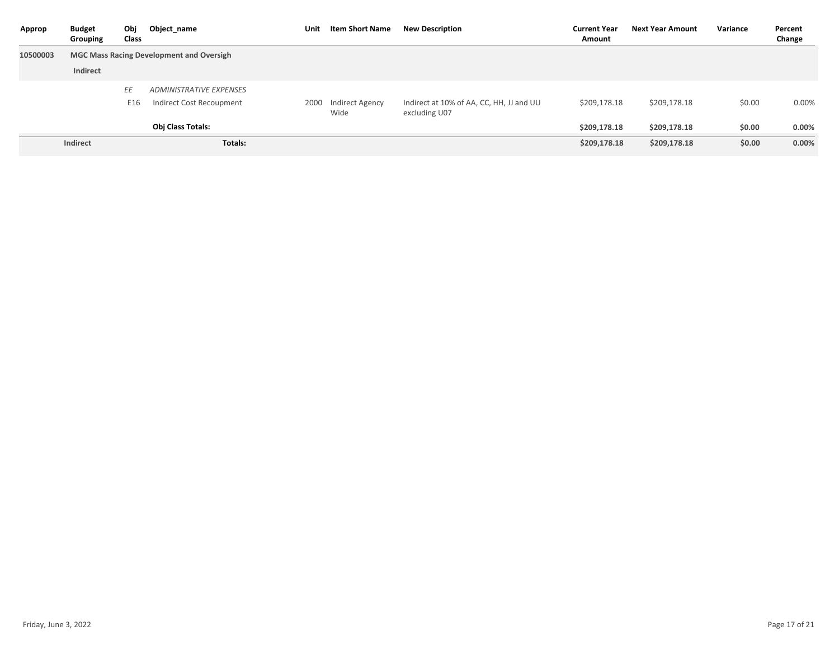| Approp   | <b>Budget</b><br>Grouping | Obj<br>Class | Object_name                                     | Unit | Item Short Name         | <b>New Description</b>                                    | <b>Current Year</b><br>Amount | <b>Next Year Amount</b> | Variance | Percent<br>Change |
|----------|---------------------------|--------------|-------------------------------------------------|------|-------------------------|-----------------------------------------------------------|-------------------------------|-------------------------|----------|-------------------|
| 10500003 |                           |              | <b>MGC Mass Racing Development and Oversigh</b> |      |                         |                                                           |                               |                         |          |                   |
|          | Indirect                  |              |                                                 |      |                         |                                                           |                               |                         |          |                   |
|          |                           | EE           | <b>ADMINISTRATIVE EXPENSES</b>                  |      |                         |                                                           |                               |                         |          |                   |
|          |                           | E16          | Indirect Cost Recoupment                        | 2000 | Indirect Agency<br>Wide | Indirect at 10% of AA, CC, HH, JJ and UU<br>excluding U07 | \$209,178.18                  | \$209,178.18            | \$0.00   | 0.00%             |
|          |                           |              | <b>Obj Class Totals:</b>                        |      |                         |                                                           | \$209,178.18                  | \$209,178.18            | \$0.00   | 0.00%             |
|          | Indirect                  |              | Totals:                                         |      |                         |                                                           | \$209,178.18                  | \$209,178.18            | \$0.00   | 0.00%             |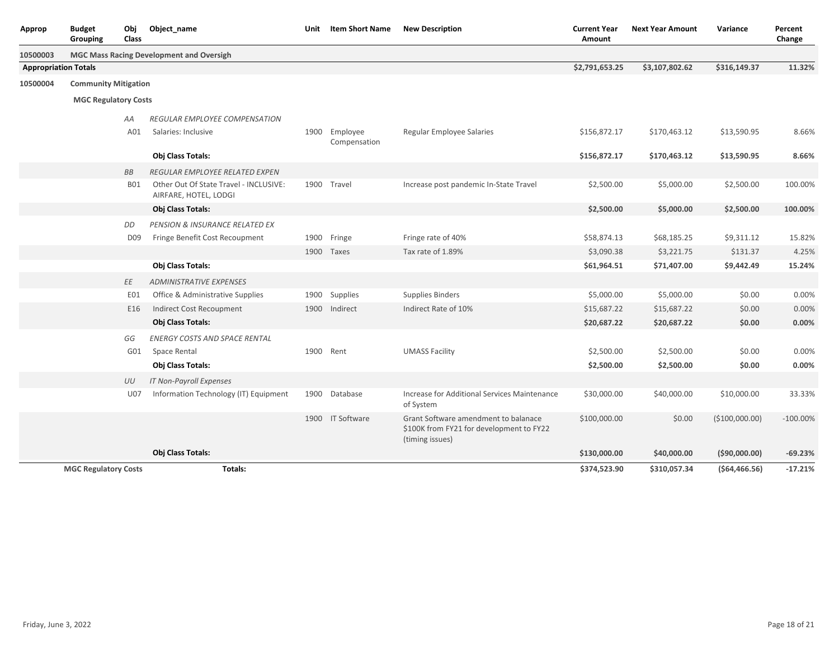| Approp                      | <b>Budget</b><br>Obj<br>Grouping<br>Class | Object name                                                     | Unit | <b>Item Short Name</b> | <b>New Description</b>                                                                              | <b>Current Year</b><br><b>Amount</b> | <b>Next Year Amount</b> | Variance       | Percent<br>Change |
|-----------------------------|-------------------------------------------|-----------------------------------------------------------------|------|------------------------|-----------------------------------------------------------------------------------------------------|--------------------------------------|-------------------------|----------------|-------------------|
| 10500003                    |                                           | <b>MGC Mass Racing Development and Oversigh</b>                 |      |                        |                                                                                                     |                                      |                         |                |                   |
| <b>Appropriation Totals</b> |                                           |                                                                 |      |                        |                                                                                                     | \$2,791,653.25                       | \$3,107,802.62          | \$316,149.37   | 11.32%            |
| 10500004                    | <b>Community Mitigation</b>               |                                                                 |      |                        |                                                                                                     |                                      |                         |                |                   |
|                             | <b>MGC Regulatory Costs</b>               |                                                                 |      |                        |                                                                                                     |                                      |                         |                |                   |
|                             | AA                                        | REGULAR EMPLOYEE COMPENSATION                                   |      |                        |                                                                                                     |                                      |                         |                |                   |
|                             | A01                                       | Salaries: Inclusive                                             |      | 1900 Employee          | Regular Employee Salaries                                                                           | \$156,872.17                         | \$170,463.12            | \$13,590.95    | 8.66%             |
|                             |                                           |                                                                 |      | Compensation           |                                                                                                     |                                      |                         |                |                   |
|                             |                                           | Obj Class Totals:                                               |      |                        |                                                                                                     | \$156,872.17                         | \$170,463.12            | \$13,590.95    | 8.66%             |
|                             | <b>BB</b>                                 | REGULAR EMPLOYEE RELATED EXPEN                                  |      |                        |                                                                                                     |                                      |                         |                |                   |
|                             | <b>B01</b>                                | Other Out Of State Travel - INCLUSIVE:<br>AIRFARE, HOTEL, LODGI |      | 1900 Travel            | Increase post pandemic In-State Travel                                                              | \$2,500.00                           | \$5,000.00              | \$2,500.00     | 100.00%           |
|                             |                                           | Obj Class Totals:                                               |      |                        |                                                                                                     | \$2,500.00                           | \$5,000.00              | \$2,500.00     | 100.00%           |
|                             | DD                                        | PENSION & INSURANCE RELATED EX                                  |      |                        |                                                                                                     |                                      |                         |                |                   |
|                             | D <sub>09</sub>                           | Fringe Benefit Cost Recoupment                                  |      | 1900 Fringe            | Fringe rate of 40%                                                                                  | \$58,874.13                          | \$68,185.25             | \$9,311.12     | 15.82%            |
|                             |                                           |                                                                 |      | 1900 Taxes             | Tax rate of 1.89%                                                                                   | \$3,090.38                           | \$3,221.75              | \$131.37       | 4.25%             |
|                             |                                           | Obj Class Totals:                                               |      |                        |                                                                                                     | \$61,964.51                          | \$71,407.00             | \$9,442.49     | 15.24%            |
|                             | ΕE                                        | <b>ADMINISTRATIVE EXPENSES</b>                                  |      |                        |                                                                                                     |                                      |                         |                |                   |
|                             | EO1                                       | Office & Administrative Supplies                                |      | 1900 Supplies          | <b>Supplies Binders</b>                                                                             | \$5,000.00                           | \$5,000.00              | \$0.00         | 0.00%             |
|                             | E16                                       | <b>Indirect Cost Recoupment</b>                                 | 1900 | Indirect               | Indirect Rate of 10%                                                                                | \$15,687.22                          | \$15,687.22             | \$0.00         | 0.00%             |
|                             |                                           | Obj Class Totals:                                               |      |                        |                                                                                                     | \$20,687.22                          | \$20,687.22             | \$0.00         | 0.00%             |
|                             | GG                                        | <b>ENERGY COSTS AND SPACE RENTAL</b>                            |      |                        |                                                                                                     |                                      |                         |                |                   |
|                             | G01                                       | Space Rental                                                    |      | 1900 Rent              | <b>UMASS Facility</b>                                                                               | \$2,500.00                           | \$2,500.00              | \$0.00         | 0.00%             |
|                             |                                           | Obj Class Totals:                                               |      |                        |                                                                                                     | \$2,500.00                           | \$2,500.00              | \$0.00         | 0.00%             |
|                             | UU                                        | <b>IT Non-Payroll Expenses</b>                                  |      |                        |                                                                                                     |                                      |                         |                |                   |
|                             | U07                                       | Information Technology (IT) Equipment                           |      | 1900 Database          | Increase for Additional Services Maintenance<br>of System                                           | \$30,000.00                          | \$40,000.00             | \$10,000.00    | 33.33%            |
|                             |                                           |                                                                 |      | 1900 IT Software       | Grant Software amendment to balanace<br>\$100K from FY21 for development to FY22<br>(timing issues) | \$100,000.00                         | \$0.00                  | (\$100,000.00) | $-100.00\%$       |
|                             |                                           | Obj Class Totals:                                               |      |                        |                                                                                                     | \$130,000.00                         | \$40,000.00             | ( \$90,000.00) | $-69.23%$         |
|                             | <b>MGC Regulatory Costs</b>               | Totals:                                                         |      |                        |                                                                                                     | \$374,523.90                         | \$310,057.34            | (564, 466.56)  | $-17.21%$         |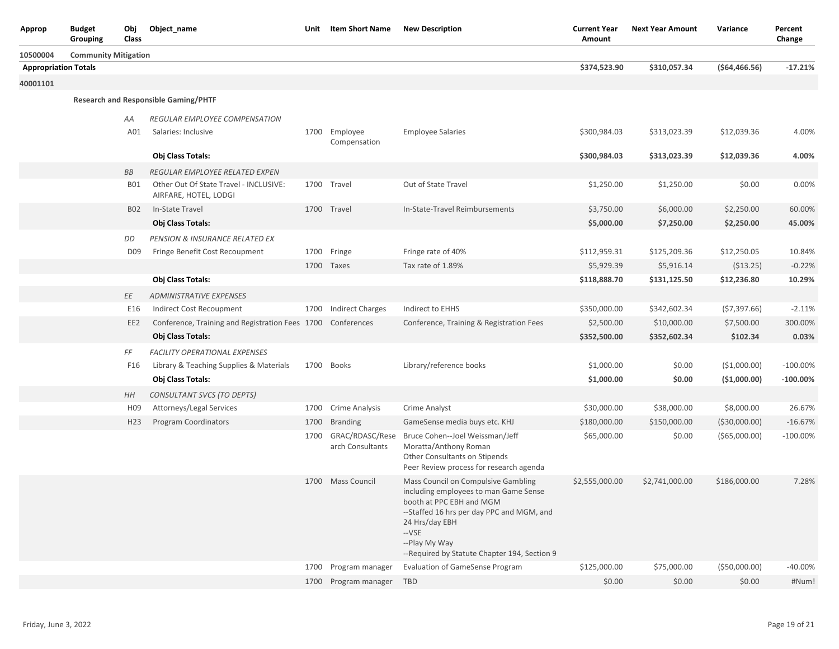| Approp                      | <b>Budget</b><br>Grouping   | Obj<br>Class    | Object_name                                                     | Unit | <b>Item Short Name</b>              | <b>New Description</b>                                                                                                                                                                                                                             | <b>Current Year</b><br>Amount | <b>Next Year Amount</b> | Variance       | Percent<br>Change |
|-----------------------------|-----------------------------|-----------------|-----------------------------------------------------------------|------|-------------------------------------|----------------------------------------------------------------------------------------------------------------------------------------------------------------------------------------------------------------------------------------------------|-------------------------------|-------------------------|----------------|-------------------|
| 10500004                    | <b>Community Mitigation</b> |                 |                                                                 |      |                                     |                                                                                                                                                                                                                                                    |                               |                         |                |                   |
| <b>Appropriation Totals</b> |                             |                 |                                                                 |      |                                     |                                                                                                                                                                                                                                                    | \$374,523.90                  | \$310,057.34            | (564, 466.56)  | $-17.21%$         |
| 40001101                    |                             |                 |                                                                 |      |                                     |                                                                                                                                                                                                                                                    |                               |                         |                |                   |
|                             |                             |                 | <b>Research and Responsible Gaming/PHTF</b>                     |      |                                     |                                                                                                                                                                                                                                                    |                               |                         |                |                   |
|                             |                             | ΑA              | REGULAR EMPLOYEE COMPENSATION                                   |      |                                     |                                                                                                                                                                                                                                                    |                               |                         |                |                   |
|                             |                             | A01             | Salaries: Inclusive                                             |      | 1700 Employee                       | <b>Employee Salaries</b>                                                                                                                                                                                                                           | \$300,984.03                  | \$313,023.39            | \$12,039.36    | 4.00%             |
|                             |                             |                 |                                                                 |      | Compensation                        |                                                                                                                                                                                                                                                    |                               |                         |                |                   |
|                             |                             |                 | Obj Class Totals:                                               |      |                                     |                                                                                                                                                                                                                                                    | \$300,984.03                  | \$313,023.39            | \$12,039.36    | 4.00%             |
|                             |                             | BB              | REGULAR EMPLOYEE RELATED EXPEN                                  |      |                                     |                                                                                                                                                                                                                                                    |                               |                         |                |                   |
|                             |                             | <b>BO1</b>      | Other Out Of State Travel - INCLUSIVE:<br>AIRFARE, HOTEL, LODGI |      | 1700 Travel                         | Out of State Travel                                                                                                                                                                                                                                | \$1,250.00                    | \$1,250.00              | \$0.00         | 0.00%             |
|                             |                             | <b>B02</b>      | In-State Travel                                                 |      | 1700 Travel                         | In-State-Travel Reimbursements                                                                                                                                                                                                                     | \$3,750.00                    | \$6,000.00              | \$2,250.00     | 60.00%            |
|                             |                             |                 | Obj Class Totals:                                               |      |                                     |                                                                                                                                                                                                                                                    | \$5,000.00                    | \$7,250.00              | \$2,250.00     | 45.00%            |
|                             |                             | DD              | <b>PENSION &amp; INSURANCE RELATED EX</b>                       |      |                                     |                                                                                                                                                                                                                                                    |                               |                         |                |                   |
|                             |                             | D <sub>09</sub> | Fringe Benefit Cost Recoupment                                  |      | 1700 Fringe                         | Fringe rate of 40%                                                                                                                                                                                                                                 | \$112,959.31                  | \$125,209.36            | \$12,250.05    | 10.84%            |
|                             |                             |                 |                                                                 |      | 1700 Taxes                          | Tax rate of 1.89%                                                                                                                                                                                                                                  | \$5,929.39                    | \$5,916.14              | ( \$13.25)     | $-0.22%$          |
|                             |                             |                 | Obj Class Totals:                                               |      |                                     |                                                                                                                                                                                                                                                    | \$118,888.70                  | \$131,125.50            | \$12,236.80    | 10.29%            |
|                             |                             | ΕE              | <b>ADMINISTRATIVE EXPENSES</b>                                  |      |                                     |                                                                                                                                                                                                                                                    |                               |                         |                |                   |
|                             |                             | E16             | Indirect Cost Recoupment                                        | 1700 | <b>Indirect Charges</b>             | Indirect to EHHS                                                                                                                                                                                                                                   | \$350,000.00                  | \$342,602.34            | (57, 397.66)   | $-2.11%$          |
|                             |                             | EE <sub>2</sub> | Conference, Training and Registration Fees 1700 Conferences     |      |                                     | Conference, Training & Registration Fees                                                                                                                                                                                                           | \$2,500.00                    | \$10,000.00             | \$7,500.00     | 300.00%           |
|                             |                             |                 | Obj Class Totals:                                               |      |                                     |                                                                                                                                                                                                                                                    | \$352,500.00                  | \$352,602.34            | \$102.34       | 0.03%             |
|                             |                             | FF              | <b>FACILITY OPERATIONAL EXPENSES</b>                            |      |                                     |                                                                                                                                                                                                                                                    |                               |                         |                |                   |
|                             |                             | F16             | Library & Teaching Supplies & Materials                         |      | 1700 Books                          | Library/reference books                                                                                                                                                                                                                            | \$1,000.00                    | \$0.00                  | ( \$1,000.00)  | $-100.00\%$       |
|                             |                             |                 | Obj Class Totals:                                               |      |                                     |                                                                                                                                                                                                                                                    | \$1,000.00                    | \$0.00                  | (\$1,000.00)   | $-100.00\%$       |
|                             |                             | HH              | CONSULTANT SVCS (TO DEPTS)                                      |      |                                     |                                                                                                                                                                                                                                                    |                               |                         |                |                   |
|                             |                             | H09             | Attorneys/Legal Services                                        |      | 1700 Crime Analysis                 | Crime Analyst                                                                                                                                                                                                                                      | \$30,000.00                   | \$38,000.00             | \$8,000.00     | 26.67%            |
|                             |                             | H <sub>23</sub> | Program Coordinators                                            | 1700 | <b>Branding</b>                     | GameSense media buys etc. KHJ                                                                                                                                                                                                                      | \$180,000.00                  | \$150,000.00            | ( \$30,000.00) | $-16.67%$         |
|                             |                             |                 |                                                                 | 1700 | GRAC/RDASC/Rese<br>arch Consultants | Bruce Cohen--Joel Weissman/Jeff<br>Moratta/Anthony Roman<br>Other Consultants on Stipends<br>Peer Review process for research agenda                                                                                                               | \$65,000.00                   | \$0.00                  | ( \$65,000.00) | $-100.00\%$       |
|                             |                             |                 |                                                                 | 1700 | <b>Mass Council</b>                 | Mass Council on Compulsive Gambling<br>including employees to man Game Sense<br>booth at PPC EBH and MGM<br>--Staffed 16 hrs per day PPC and MGM, and<br>24 Hrs/day EBH<br>$-VSE$<br>--Play My Way<br>--Required by Statute Chapter 194, Section 9 | \$2,555,000.00                | \$2,741,000.00          | \$186,000.00   | 7.28%             |
|                             |                             |                 |                                                                 |      | 1700 Program manager                | <b>Evaluation of GameSense Program</b>                                                                                                                                                                                                             | \$125,000.00                  | \$75,000.00             | ( \$50,000.00) | $-40.00%$         |
|                             |                             |                 |                                                                 |      | 1700 Program manager TBD            |                                                                                                                                                                                                                                                    | \$0.00                        | \$0.00                  | \$0.00         | #Num!             |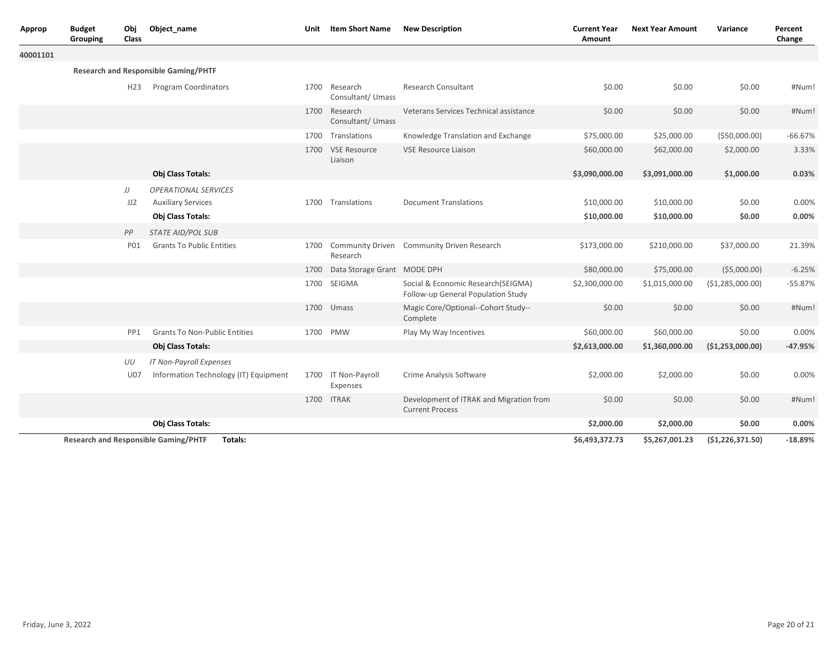| Approp   | Object name<br><b>Budget</b><br>Obj<br>Class<br>Grouping |            |                                                                               | Unit | <b>Item Short Name</b>             | <b>New Description</b>                                                   | <b>Current Year</b><br>Amount | <b>Next Year Amount</b>    | Variance          | Percent<br>Change |
|----------|----------------------------------------------------------|------------|-------------------------------------------------------------------------------|------|------------------------------------|--------------------------------------------------------------------------|-------------------------------|----------------------------|-------------------|-------------------|
| 40001101 |                                                          |            |                                                                               |      |                                    |                                                                          |                               |                            |                   |                   |
|          |                                                          |            | <b>Research and Responsible Gaming/PHTF</b>                                   |      |                                    |                                                                          |                               |                            |                   |                   |
|          |                                                          | H23        | <b>Program Coordinators</b>                                                   | 1700 | Research<br>Consultant/ Umass      | <b>Research Consultant</b>                                               | \$0.00                        | \$0.00                     | \$0.00            | #Num!             |
|          |                                                          |            |                                                                               |      | 1700 Research<br>Consultant/ Umass | Veterans Services Technical assistance                                   | \$0.00                        | \$0.00                     | \$0.00            | #Num!             |
|          |                                                          |            |                                                                               |      | 1700 Translations                  | Knowledge Translation and Exchange                                       | \$75,000.00                   | \$25,000.00                | ( \$50,000.00)    | $-66.67%$         |
|          |                                                          |            |                                                                               | 1700 | <b>VSE Resource</b><br>Liaison     | <b>VSE Resource Liaison</b>                                              | \$60,000.00                   | \$62,000.00                | \$2,000.00        | 3.33%             |
|          |                                                          |            | Obj Class Totals:                                                             |      |                                    |                                                                          | \$3,090,000.00                | \$3,091,000.00             | \$1,000.00        | 0.03%             |
|          |                                                          | JJ<br>JJ2  | <b>OPERATIONAL SERVICES</b><br><b>Auxiliary Services</b><br>Obj Class Totals: | 1700 | Translations                       | <b>Document Translations</b>                                             | \$10,000.00<br>\$10,000.00    | \$10,000.00<br>\$10,000.00 | \$0.00<br>\$0.00  | 0.00%<br>0.00%    |
|          |                                                          | PP         | <b>STATE AID/POL SUB</b>                                                      |      |                                    |                                                                          |                               |                            |                   |                   |
|          |                                                          | <b>PO1</b> | <b>Grants To Public Entities</b>                                              | 1700 | Research                           | <b>Community Driven</b> Community Driven Research                        | \$173,000.00                  | \$210,000.00               | \$37,000.00       | 21.39%            |
|          |                                                          |            |                                                                               | 1700 | Data Storage Grant MODE DPH        |                                                                          | \$80,000.00                   | \$75,000.00                | ( \$5,000.00)     | $-6.25%$          |
|          |                                                          |            |                                                                               | 1700 | SEIGMA                             | Social & Economic Research(SEIGMA)<br>Follow-up General Population Study | \$2,300,000.00                | \$1,015,000.00             | (\$1,285,000.00)  | $-55.87%$         |
|          |                                                          |            |                                                                               | 1700 | Umass                              | Magic Core/Optional--Cohort Study--<br>Complete                          | \$0.00                        | \$0.00                     | \$0.00            | #Num!             |
|          |                                                          | PP1        | <b>Grants To Non-Public Entities</b>                                          | 1700 | <b>PMW</b>                         | Play My Way Incentives                                                   | \$60,000.00                   | \$60,000.00                | \$0.00            | 0.00%             |
|          |                                                          |            | Obj Class Totals:                                                             |      |                                    |                                                                          | \$2,613,000.00                | \$1,360,000.00             | ( \$1,253,000.00) | $-47.95%$         |
|          |                                                          | UU         | <b>IT Non-Payroll Expenses</b>                                                |      |                                    |                                                                          |                               |                            |                   |                   |
|          |                                                          | <b>U07</b> | Information Technology (IT) Equipment                                         |      | 1700 IT Non-Payroll<br>Expenses    | Crime Analysis Software                                                  | \$2,000.00                    | \$2,000.00                 | \$0.00            | 0.00%             |
|          |                                                          |            |                                                                               | 1700 | <b>ITRAK</b>                       | Development of ITRAK and Migration from<br><b>Current Process</b>        | \$0.00                        | \$0.00                     | \$0.00            | #Num!             |
|          |                                                          |            | Obj Class Totals:                                                             |      |                                    |                                                                          | \$2,000.00                    | \$2,000.00                 | \$0.00            | 0.00%             |
|          |                                                          |            | <b>Research and Responsible Gaming/PHTF</b><br>Totals:                        |      |                                    |                                                                          | \$6,493,372.73                | \$5,267,001.23             | (51, 226, 371.50) | $-18.89%$         |